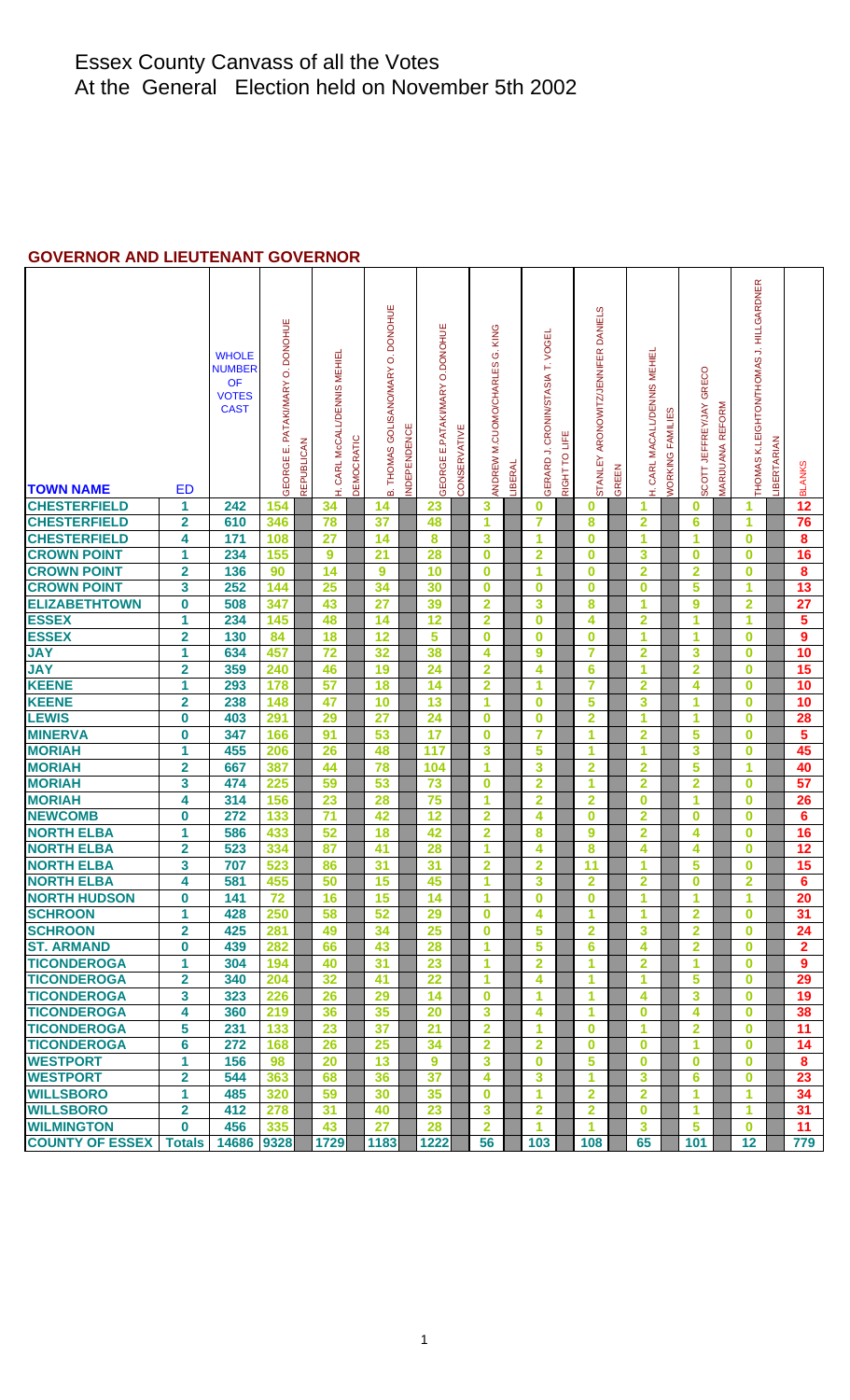## **GOVERNOR AND LIEUTENANT GOVERNOR**

| <b>TOWN NAME</b>                      | ED                      | <b>WHOLE</b><br><b>NUMBER</b><br>OF<br><b>VOTES</b><br><b>CAST</b> | GEORGE E. PATAKIMARY O. DONOHUE<br>REPUBLICAN | CARL McCALL/DENNIS MEHIE<br>Ê | DEMOCRATIC | B. THOMAS GOLISANO/MARY O. DONOHUE<br>NDEPENDENCE | E.PATAKIMARY O.DONOHUE<br>GEORGE | CONSERVATIVE | KING<br>Ö<br>M.CUOMO/CHARLES<br>ANDREW | <b>_IBERAL</b> | GERARD J. CRONIN/STASIA T. VOGE | RIGHT TO LIFE | STANLEY ARONOWITZ/JENNIFER DANIELS | GREEN | CARL MACALL/DENNIS MEHIEI<br>£, | <b>WORKING FAMILIES</b> | SCOTT JEFFREYJAY GRECO  | MARIJUANA REFORM | THOMAS K.LEIGHTON/THOMAS J. HILLGARDNER | <b>IBERTARIAN</b> | <b>BLANKS</b>    |
|---------------------------------------|-------------------------|--------------------------------------------------------------------|-----------------------------------------------|-------------------------------|------------|---------------------------------------------------|----------------------------------|--------------|----------------------------------------|----------------|---------------------------------|---------------|------------------------------------|-------|---------------------------------|-------------------------|-------------------------|------------------|-----------------------------------------|-------------------|------------------|
| <b>CHESTERFIELD</b>                   | 1                       | 242                                                                | 154                                           | 34                            |            | 14                                                | 23                               |              | 3                                      |                | 0                               |               | $\bf{0}$                           |       | 1                               |                         | 0                       |                  | 1                                       |                   | 12               |
| <b>CHESTERFIELD</b>                   | $\overline{\mathbf{2}}$ | 610                                                                | 346                                           | 78                            |            | 37                                                | 48                               |              | 1                                      |                | 7                               |               | 8                                  |       | $\overline{\mathbf{2}}$         |                         | 6                       |                  | 1                                       |                   | 76               |
| <b>CHESTERFIELD</b>                   | 4                       | 171                                                                | 108                                           | 27                            |            | 14                                                | 8                                |              | 3                                      |                | 1                               |               | $\bf{0}$                           |       | 1                               |                         | 1                       |                  | 0                                       |                   | 8                |
| <b>CROWN POINT</b>                    | 1                       | 234                                                                | 155                                           | $\boldsymbol{9}$              | 21         |                                                   | 28                               |              | $\bf{0}$                               |                | $\overline{\mathbf{2}}$         |               | $\bf{0}$                           |       | 3                               |                         | $\bf{0}$                |                  | $\bf{0}$                                |                   | 16               |
| <b>CROWN POINT</b>                    | $\overline{\mathbf{2}}$ | 136                                                                | 90                                            | 14                            |            | 9                                                 | 10                               |              | $\bf{0}$                               |                | 1                               |               | $\bf{0}$                           |       | $\overline{2}$                  |                         | $\overline{\mathbf{2}}$ |                  | $\bf{0}$                                |                   | 8                |
| <b>CROWN POINT</b>                    | 3                       | 252                                                                | 144                                           | 25                            |            | 34                                                | 30                               |              | $\bf{0}$                               |                | $\bf{0}$                        |               | $\bf{0}$                           |       | $\bf{0}$                        |                         | 5                       |                  | 1                                       |                   | $\overline{13}$  |
| <b>ELIZABETHTOWN</b>                  | $\bf{0}$                | 508                                                                | 347                                           | 43                            | 27         |                                                   | 39                               |              | $\overline{2}$                         |                | 3                               |               | 8                                  |       | 1                               |                         | 9                       |                  | $\overline{2}$                          |                   | 27               |
| <b>ESSEX</b>                          | 1                       | 234                                                                | 145                                           | 48                            |            | 14                                                | 12                               |              | $\overline{\mathbf{2}}$                |                | $\bf{0}$                        |               | 4                                  |       | $\overline{2}$                  |                         | 1                       |                  | 1                                       |                   | 5                |
| <b>ESSEX</b>                          | $\overline{\mathbf{2}}$ | 130                                                                | 84                                            | 18                            |            | 12                                                | 5                                |              | $\bf{0}$                               |                | $\bf{0}$                        |               | $\bf{0}$                           |       | 1                               |                         | 1                       |                  | $\bf{0}$                                |                   | $\boldsymbol{9}$ |
| <b>JAY</b>                            | 1                       | 634                                                                | 457                                           | $\overline{72}$               |            | 32                                                | 38                               |              | 4                                      |                | $\boldsymbol{9}$                |               | $\overline{7}$                     |       | $\overline{2}$                  |                         | 3                       |                  | $\bf{0}$                                |                   | 10               |
| <b>JAY</b>                            | $\overline{\mathbf{2}}$ | 359                                                                | 240                                           | 46                            |            | 19                                                | 24                               |              | $\overline{2}$                         |                | 4                               |               | 6                                  |       | 1                               |                         | $\overline{2}$          |                  | $\bf{0}$                                |                   | 15               |
| <b>KEENE</b>                          | 1                       | 293                                                                | 178                                           | 57                            |            | 18                                                | 14                               |              | $\overline{\mathbf{2}}$                |                | 1                               |               | $\overline{7}$                     |       | $\overline{2}$                  |                         | 4                       |                  | $\bf{0}$                                |                   | 10               |
| <b>KEENE</b>                          | $\overline{\mathbf{2}}$ | 238                                                                | 148                                           | 47                            |            | 10                                                | 13                               |              | 1                                      |                | $\bf{0}$                        |               | 5                                  |       | 3                               |                         | 1                       |                  | $\bf{0}$                                |                   | 10               |
| <b>LEWIS</b>                          | $\bf{0}$                | 403                                                                | 291                                           | 29                            | 27         |                                                   | 24                               |              | $\bf{0}$                               |                | $\bf{0}$                        |               | $\overline{2}$                     |       | 1                               |                         | 1                       |                  | $\bf{0}$                                |                   | 28               |
| <b>MINERVA</b>                        | 0                       | 347                                                                | 166                                           | 91                            |            | 53                                                | 17                               |              | $\bf{0}$                               |                | 7                               |               | 1                                  |       | $\overline{2}$                  |                         | 5                       |                  | $\bf{0}$                                |                   | 5                |
| <b>MORIAH</b>                         | 1                       | 455                                                                | 206                                           | 26                            |            | 48                                                | 117                              |              | 3                                      |                | 5                               |               | 1                                  |       | 1                               |                         | 3                       |                  | $\bf{0}$                                |                   | 45               |
| <b>MORIAH</b>                         | $\overline{\mathbf{2}}$ | 667                                                                | 387                                           | 44                            |            | 78                                                | 104                              |              | 1                                      |                | 3                               |               | $\overline{2}$                     |       | $\overline{2}$                  |                         | 5                       |                  | 1                                       |                   | 40               |
| <b>MORIAH</b>                         | 3                       | 474                                                                | 225                                           | 59                            |            | 53                                                | 73                               |              | $\bf{0}$                               |                | $\overline{\mathbf{2}}$         |               | 1                                  |       | $\overline{2}$                  |                         | $\overline{2}$          |                  | $\bf{0}$                                |                   | 57               |
| <b>MORIAH</b>                         | 4                       | 314                                                                | 156                                           | 23                            |            | 28                                                | 75                               |              | 1                                      |                | 2                               |               | $\overline{2}$                     |       | 0                               |                         | 1                       |                  | $\bf{0}$                                |                   | 26               |
| <b>NEWCOMB</b>                        | 0                       | 272                                                                | 133                                           | 71                            |            | 42                                                | 12                               |              | $\overline{\mathbf{2}}$                |                | 4                               |               | $\bf{0}$                           |       | 2                               |                         | 0                       |                  | $\bf{0}$                                |                   | 6                |
| <b>NORTH ELBA</b>                     | 1                       | 586                                                                | 433                                           | 52                            |            | 18                                                | 42                               |              | $\overline{2}$                         |                | 8                               |               | 9                                  |       | $\overline{\mathbf{2}}$         |                         | 4                       |                  | $\bf{0}$                                |                   | 16               |
| <b>NORTH ELBA</b>                     | $\overline{\mathbf{2}}$ | 523                                                                | 334                                           | 87                            | 41         |                                                   | 28                               |              | 1                                      |                | 4                               |               | 8                                  |       | 4                               |                         | 4                       |                  | $\bf{0}$                                |                   | 12               |
| <b>NORTH ELBA</b>                     | 3                       | 707                                                                | 523                                           | 86                            | 31         |                                                   | 31                               |              | $\overline{2}$                         |                | $\overline{\mathbf{2}}$         |               | 11                                 |       | 1                               |                         | 5                       |                  | $\bf{0}$                                |                   | 15               |
| <b>NORTH ELBA</b>                     | 4                       | 581                                                                | 455                                           | 50                            |            | 15                                                | 45                               |              | 1                                      |                | 3                               |               | $\overline{2}$                     |       | $\overline{2}$                  |                         | $\bf{0}$                |                  | $\overline{2}$                          |                   | 6                |
| <b>NORTH HUDSON</b>                   | 0                       | 141                                                                | 72                                            | 16                            |            | 15                                                | 14                               |              |                                        |                | $\overline{\mathbf{0}}$         |               | $\bf{0}$                           |       |                                 |                         |                         |                  |                                         |                   | $\overline{20}$  |
| <b>SCHROON</b>                        | 1                       | 428                                                                | 250                                           | 58                            |            | 52                                                | 29                               |              | $\bf{0}$                               |                | 4                               |               | 1                                  |       | 1                               |                         | $\overline{2}$          |                  | $\bf{0}$                                |                   | 31               |
| <b>SCHROON</b>                        | $\overline{\mathbf{2}}$ | 425                                                                | 281                                           | 49                            |            | 34                                                | 25                               |              | $\bf{0}$                               |                | 5                               |               | $\mathbf{2}$                       |       | 3                               |                         | $\mathbf{2}$            |                  | $\bf{0}$                                |                   | 24               |
| <b>ST. ARMAND</b>                     | 0                       | 439                                                                | 282                                           | 66                            |            | 43                                                | 28                               |              | 1                                      |                | 5                               |               | 6                                  |       | 4                               |                         | $\overline{2}$          |                  | $\bf{0}$                                |                   | $\mathbf{2}$     |
| <b>TICONDEROGA</b>                    | 1                       | 304                                                                | 194                                           | 40                            |            | 31                                                | 23                               |              | 1                                      |                | $\overline{2}$                  |               | 1                                  |       | $\overline{2}$                  |                         | 1                       |                  | $\bf{0}$                                |                   | 9                |
| <b>TICONDEROGA</b>                    | $\overline{\mathbf{2}}$ | 340                                                                | 204                                           | 32                            |            | 41                                                | 22                               |              | 1                                      |                | 4                               |               | 1                                  |       | 1                               |                         | 5                       |                  | $\bf{0}$                                |                   | 29               |
| <b>TICONDEROGA</b>                    | 3                       | 323                                                                | 226                                           | 26                            |            | 29                                                | 14                               |              | $\bf{0}$                               |                | 1                               |               | 1                                  |       | 4                               |                         | 3                       |                  | $\bf{0}$                                |                   | 19               |
| <b>TICONDEROGA</b>                    | 4                       | 360                                                                | 219                                           | 36                            |            | 35                                                | 20                               |              | 3                                      |                | 4                               |               | 1                                  |       | 0                               |                         | 4                       |                  | $\bf{0}$                                |                   | 38               |
| <b>TICONDEROGA</b>                    | 5                       | 231                                                                | 133                                           | 23                            |            | 37                                                | 21                               |              | $\overline{2}$                         |                | 1                               |               | $\bf{0}$                           |       | 1                               |                         | $\overline{2}$          |                  | $\bf{0}$                                |                   | 11               |
| <b>TICONDEROGA</b>                    | 6                       | 272                                                                | 168                                           | 26                            |            | 25                                                | 34                               |              | $\overline{2}$                         |                | $\overline{\mathbf{2}}$         |               | $\bf{0}$                           |       | $\bf{0}$                        |                         | 1                       |                  | $\bf{0}$                                |                   | 14               |
| <b>WESTPORT</b>                       | 1                       | 156                                                                | 98                                            | 20                            |            | 13                                                | 9                                |              | 3                                      |                | $\bf{0}$                        |               | 5                                  |       | $\bf{0}$                        |                         | $\bf{0}$                |                  | $\bf{0}$                                |                   | 8                |
| <b>WESTPORT</b>                       | $\mathbf{2}$            | 544                                                                | 363                                           | 68                            |            | 36                                                | 37                               |              | 4                                      |                | 3                               |               | 1                                  |       | 3                               |                         | 6                       |                  | $\bf{0}$                                |                   | 23               |
| <b>WILLSBORO</b>                      | 1                       | 485                                                                | 320                                           | 59                            |            | 30                                                | 35                               |              | $\bf{0}$                               |                | 1                               |               | $\overline{2}$                     |       | $\overline{2}$                  |                         | 1                       |                  | 1                                       |                   | 34               |
| <b>WILLSBORO</b>                      | $\mathbf{2}$            | 412                                                                | 278                                           | 31                            |            | 40                                                | 23                               |              | $\mathbf{3}$                           |                | $\overline{2}$                  |               | $\overline{2}$                     |       | $\bf{0}$                        |                         | 1                       |                  | 1                                       |                   | 31               |
| <b>WILMINGTON</b>                     | $\mathbf 0$             | 456                                                                | 335                                           | 43                            |            | 27                                                | 28                               |              | $\overline{\mathbf{2}}$                |                | 1                               |               | 1                                  |       | 3                               |                         | 5                       |                  | $\bf{0}$                                |                   | 11               |
| COUNTY OF ESSEX Totals   14686   9328 |                         |                                                                    |                                               | 1729                          |            | 1183                                              | 1222                             |              | 56                                     |                | 103                             |               | 108                                |       | 65                              |                         | 101                     |                  | 12                                      |                   | 779              |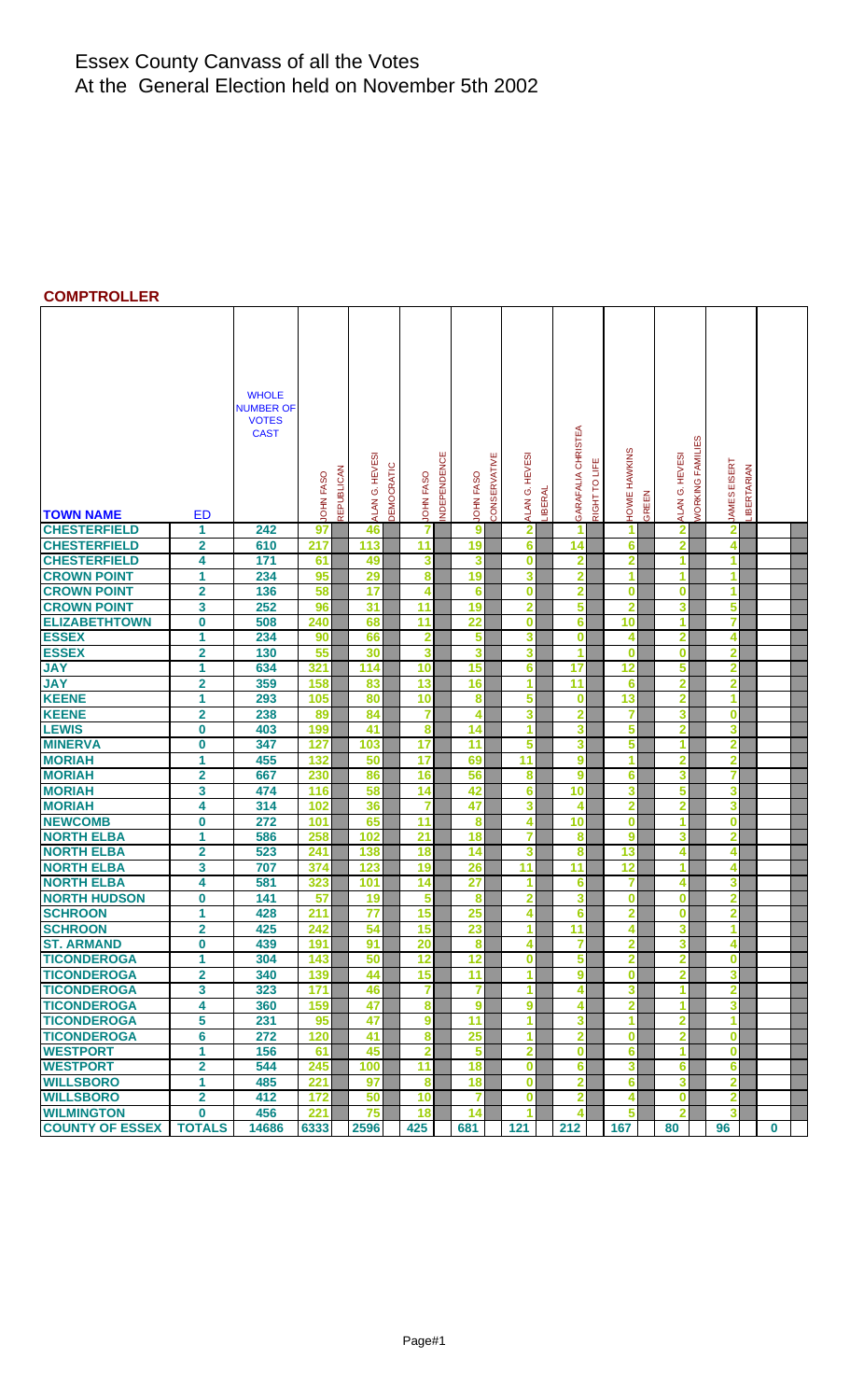#### **COMPTROLLER**

|                        |                         | <b>WHOLE</b><br><b>NUMBER OF</b><br><b>VOTES</b><br><b>CAST</b> |                                       |                |            |                                 |                                  |                         |                               |                                            |                                              |                                          |             |  |
|------------------------|-------------------------|-----------------------------------------------------------------|---------------------------------------|----------------|------------|---------------------------------|----------------------------------|-------------------------|-------------------------------|--------------------------------------------|----------------------------------------------|------------------------------------------|-------------|--|
|                        |                         |                                                                 | <b>REPUBLICAN</b><br><b>JOHN FASO</b> | ALAN G. HEVESI | DEMOCRATIC | NDEPENDENCE<br><b>JOHN FASO</b> | CONSERVATIVE<br><b>JOHN FASO</b> | ALAN G. HEVES           | GARAFALIA CHRISTEA<br>LIBERAL | HOWIE HAWKINS<br>Ë<br>°E<br>GREEN<br>RIGHT | FAMILIES<br>ALAN G. HEVESI<br><b>NORKING</b> | <b>JAMES EISERT</b><br><b>IBERTARIAN</b> |             |  |
| <b>TOWN NAME</b>       | <b>ED</b>               |                                                                 |                                       |                |            |                                 |                                  |                         |                               |                                            |                                              |                                          |             |  |
| <b>CHESTERFIELD</b>    | 1                       | 242                                                             | 97                                    | 46             |            | 7                               | $\overline{9}$                   | $\overline{\mathbf{2}}$ | 1                             | 1                                          | $\overline{\mathbf{2}}$                      | $\overline{\mathbf{2}}$                  |             |  |
| <b>CHESTERFIELD</b>    | $\overline{2}$          | 610                                                             | 217                                   | 113            |            | $\overline{11}$                 | 19                               | 6                       | $\overline{14}$               | 6                                          | $\overline{\mathbf{2}}$                      | 4                                        |             |  |
| <b>CHESTERFIELD</b>    | 4                       | 171                                                             | 61                                    | 49             |            | 3                               | 3                                | 0                       | 2                             | 2                                          | 1                                            | $\mathbf{1}$                             |             |  |
| <b>CROWN POINT</b>     | 1                       | 234                                                             | 95                                    | 29             |            | 8                               | 19                               | 3                       | $\overline{\mathbf{2}}$       | 1                                          | 1                                            | 1                                        |             |  |
| <b>CROWN POINT</b>     | $\overline{\mathbf{2}}$ | 136                                                             | 58                                    | 17             |            | 4                               | 6                                | $\bf{0}$                | $\overline{\mathbf{2}}$       | 0                                          | $\bf{0}$                                     | $\mathbf{1}$                             |             |  |
| <b>CROWN POINT</b>     | 3                       | 252                                                             | 96                                    | 31             |            | 11                              | 19                               | $\overline{\mathbf{2}}$ | 5                             | $\overline{\mathbf{2}}$                    | 3                                            | 5                                        |             |  |
| <b>ELIZABETHTOWN</b>   | $\bf{0}$                | 508                                                             | 240                                   | 68             |            | $\overline{11}$                 | 22                               | $\bf{0}$                | $\overline{\mathbf{6}}$       | 10                                         | 1                                            | $\overline{7}$                           |             |  |
| <b>ESSEX</b>           | 1                       | 234                                                             | 90                                    | 66             |            | $\overline{2}$                  | 5                                | 3                       | $\bf{0}$                      | 4                                          | $\overline{2}$                               | 4                                        |             |  |
| <b>ESSEX</b>           | $\overline{\mathbf{2}}$ | 130                                                             | 55                                    | 30             |            | 3                               | 3                                | 3                       | 1                             | $\bf{0}$                                   | $\bf{0}$                                     | $\overline{\mathbf{2}}$                  |             |  |
| <b>JAY</b>             | 1                       | 634                                                             | 321                                   | 114            |            | 10                              | 15                               | 6                       | 17                            | 12                                         | 5                                            | $\overline{\mathbf{2}}$                  |             |  |
| <b>JAY</b>             | $\overline{\mathbf{2}}$ | 359                                                             | 158                                   | 83             |            | 13                              | 16                               | 1                       | 11                            | 6                                          | $\overline{2}$                               | $\overline{\mathbf{2}}$                  |             |  |
| <b>KEENE</b>           | 1                       | 293                                                             | 105                                   | 80             |            | 10                              | 8                                | 5                       | $\bf{0}$                      | 13                                         | $\overline{\mathbf{2}}$                      | $\overline{1}$                           |             |  |
| <b>KEENE</b>           | $\overline{\mathbf{2}}$ | 238                                                             | 89                                    | 84             |            | 7                               | 4                                | 3                       | $\overline{\mathbf{2}}$       | $\overline{7}$                             | 3                                            | $\bf{0}$                                 |             |  |
| <b>LEWIS</b>           | 0                       | 403                                                             | 199                                   | 41             |            | 8                               | 14                               | 1                       | 3                             | 5                                          | $\overline{2}$                               | 3                                        |             |  |
| <b>MINERVA</b>         | 0                       | 347                                                             | 127                                   | 103            |            | 17                              | 11                               | 5                       | 3                             | 5                                          | 1                                            | $\overline{\mathbf{2}}$                  |             |  |
| <b>MORIAH</b>          | 1                       | 455                                                             | 132                                   | 50             |            | 17                              | 69                               | 11                      | 9                             | 1                                          | $\overline{\mathbf{2}}$                      | $\overline{\mathbf{2}}$                  |             |  |
| <b>MORIAH</b>          | $\mathbf 2$             | 667                                                             | 230                                   | 86             |            | 16                              | 56                               | 8                       | 9                             | 6                                          | 3                                            | 7                                        |             |  |
| <b>MORIAH</b>          | 3                       | 474                                                             | 116                                   | 58             |            | 14                              | 42                               | 6                       | 10                            | 3                                          | 5                                            | 3                                        |             |  |
| <b>MORIAH</b>          | 4                       | 314                                                             | 102                                   | 36             |            | 7                               | 47                               | 3                       | 4                             | $\overline{\mathbf{2}}$                    | $\overline{\mathbf{2}}$                      | 3                                        |             |  |
| <b>NEWCOMB</b>         | 0                       | 272                                                             | 101                                   | 65             |            | 11                              | 8                                | 4                       | 10                            | $\bf{0}$                                   | 1                                            | $\bf{0}$                                 |             |  |
| <b>NORTH ELBA</b>      | 1                       | 586                                                             | 258                                   | 102            |            | 21                              | 18                               | 7                       | 8                             | 9                                          | 3                                            | $\overline{\mathbf{2}}$                  |             |  |
| <b>NORTH ELBA</b>      | $\overline{\mathbf{2}}$ | 523                                                             | 241                                   | 138            |            | 18                              | 14                               | 3                       | 8                             | 13                                         | 4                                            | 4                                        |             |  |
| <b>NORTH ELBA</b>      | 3                       | 707                                                             | 374                                   | 123            |            | 19                              | 26                               | 11                      | 11                            | 12                                         | 1                                            | 4                                        |             |  |
| <b>NORTH ELBA</b>      | 4                       | 581                                                             | 323                                   | 101            |            | 14                              | 27                               | 1                       | 6                             | $\overline{7}$                             | 4                                            | 3                                        |             |  |
| <b>NORTH HUDSON</b>    | 0                       | 141                                                             | 57                                    | 19             |            | 5                               | 8                                | $\overline{2}$          | 3                             | 0                                          | $\bf{0}$                                     | $\overline{\mathbf{2}}$                  |             |  |
| <b>SCHROON</b>         | 1                       | 428                                                             | 211                                   | 77             |            | 15                              | 25                               | 4                       | 6                             | $\overline{\mathbf{2}}$                    | $\bf{0}$                                     | $\overline{\mathbf{2}}$                  |             |  |
| <b>SCHROON</b>         | $\overline{\mathbf{2}}$ | 425                                                             | 242                                   | 54             |            | 15                              | 23                               | 1                       | $\overline{11}$               |                                            | 3                                            | $\mathbf{1}$                             |             |  |
| <b>ST. ARMAND</b>      | 0                       | 439                                                             | 191                                   | 91             |            | 20                              | 8                                | 4                       | 7                             | $\overline{\mathbf{2}}$                    | 3                                            | 4                                        |             |  |
| <b>TICONDEROGA</b>     | 1                       | 304                                                             | 143                                   | 50             |            | 12                              | 12                               | 0                       | 5                             | 2                                          | $\overline{2}$                               | $\bf{0}$                                 |             |  |
| <b>TICONDEROGA</b>     | $\overline{\mathbf{2}}$ | 340                                                             | 139                                   | 44             |            | 15                              | 11                               | 1                       | 9                             | 0                                          | $\overline{2}$                               | 3                                        |             |  |
| <b>TICONDEROGA</b>     | 3                       | 323                                                             | 171                                   | 46             |            | 7                               | 7                                | 1                       | 4                             | 3                                          | 1                                            | $\overline{\mathbf{2}}$                  |             |  |
| <b>TICONDEROGA</b>     | 4                       | 360                                                             | 159                                   | 47             |            | 8                               | 9                                | 9                       | 4                             | $\overline{2}$                             | 1                                            | 3                                        |             |  |
| <b>TICONDEROGA</b>     | 5                       | 231                                                             | 95                                    | 47             |            | 9                               | 11                               | 1                       | 3                             | 1                                          | $\overline{2}$                               | $\blacksquare$                           |             |  |
| <b>TICONDEROGA</b>     | 6                       | 272                                                             | 120                                   | 41             |            | 8                               | 25                               | 1                       | $\overline{\mathbf{2}}$       | 0                                          | $\overline{\mathbf{2}}$                      | $\bf{0}$                                 |             |  |
| <b>WESTPORT</b>        | 1                       | 156                                                             | 61                                    | 45             |            | $\overline{2}$                  | 5                                | $\overline{2}$          | $\bf{0}$                      | 6                                          | 1                                            | $\bf{0}$                                 |             |  |
| <b>WESTPORT</b>        | 2                       | 544                                                             | 245                                   | 100            |            | 11                              | 18                               | 0                       | 6                             | 3                                          | 6                                            | 6                                        |             |  |
| <b>WILLSBORO</b>       | 1                       | 485                                                             | 221                                   | 97             |            | 8                               | 18                               | $\bf{0}$                | $\overline{\mathbf{2}}$       | 6                                          | 3                                            | $\overline{2}$                           |             |  |
| <b>WILLSBORO</b>       | $\overline{2}$          | 412                                                             | 172                                   | 50             |            | 10                              | 7                                | $\bf{0}$                | $\overline{2}$                | 4                                          | $\bf{0}$                                     | $\overline{2}$                           |             |  |
| <b>WILMINGTON</b>      | 0                       | 456                                                             | 221                                   | 75             |            | 18                              | 14                               | 1                       | 4                             | 5                                          | $\overline{2}$                               | 3                                        |             |  |
| <b>COUNTY OF ESSEX</b> | <b>TOTALS</b>           | 14686                                                           | 6333                                  | 2596           |            | 425                             | 681                              | 121                     | 212                           | 167                                        | 80                                           | 96                                       | $\mathbf 0$ |  |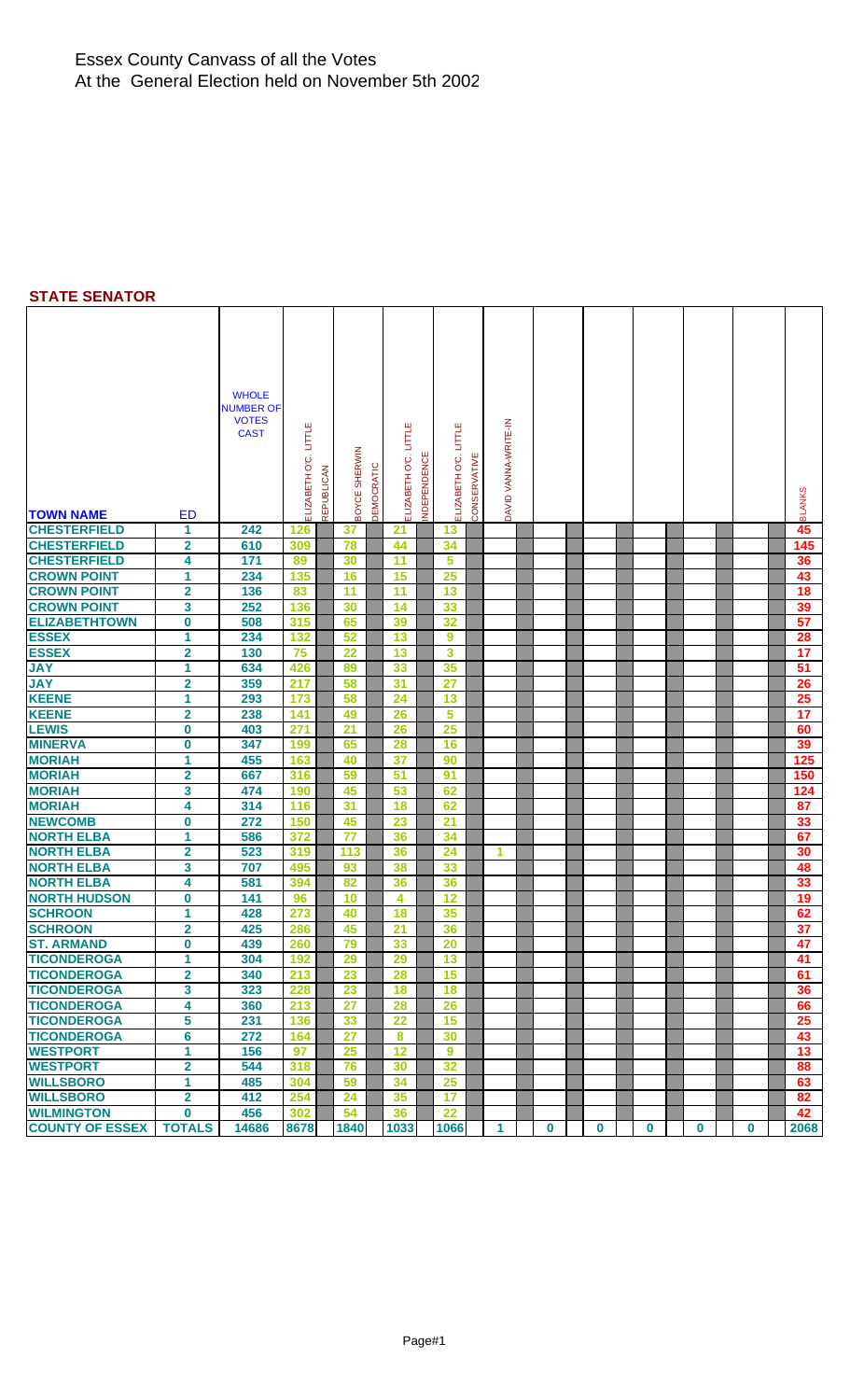## **STATE SENATOR**

|                                        |                              | <b>WHOLE</b>                     |                |                   |                 |            |                |             |                       |              |                      |          |          |          |             |             |               |
|----------------------------------------|------------------------------|----------------------------------|----------------|-------------------|-----------------|------------|----------------|-------------|-----------------------|--------------|----------------------|----------|----------|----------|-------------|-------------|---------------|
|                                        |                              | <b>NUMBER OF</b><br><b>VOTES</b> |                |                   |                 |            |                |             |                       |              |                      |          |          |          |             |             |               |
|                                        |                              | <b>CAST</b>                      |                |                   |                 |            |                |             |                       |              |                      |          |          |          |             |             |               |
|                                        |                              |                                  | <b>LITTLE</b>  |                   |                 |            | <b>LITTLE</b>  |             |                       |              |                      |          |          |          |             |             |               |
|                                        |                              |                                  |                |                   |                 |            |                |             |                       |              |                      |          |          |          |             |             |               |
|                                        |                              |                                  |                |                   | <b>SHERWIN</b>  |            |                |             |                       |              |                      |          |          |          |             |             |               |
|                                        |                              |                                  |                |                   |                 |            |                |             |                       |              |                      |          |          |          |             |             |               |
| <b>TOWN NAME</b>                       | <b>ED</b>                    |                                  | ELIZABETH O'C. | <b>REPUBLICAN</b> | BOYCE !         | DEMOCRATIC | ELIZABETH O'C. | NDEPENDENCE | ELIZABETH O'C. LITTLE | CONSERVATIVE | DAVID VANNA-WRITE-IN |          |          |          |             |             | <b>BLANKS</b> |
| <b>CHESTERFIELD</b>                    | 1                            | 242                              | 126            |                   | 37              |            | 21             |             | 13                    |              |                      |          |          |          |             |             | 45            |
| <b>CHESTERFIELD</b>                    | $\overline{\mathbf{2}}$      | 610                              | 309            |                   | 78              |            | 44             |             | 34                    |              |                      |          |          |          |             |             | 145           |
| <b>CHESTERFIELD</b>                    | 4                            | 171                              | 89             |                   | 30              |            | 11             |             | 5                     |              |                      |          |          |          |             |             | 36            |
| <b>CROWN POINT</b>                     | 1                            | 234                              | 135            |                   | 16              |            | 15             |             | 25                    |              |                      |          |          |          |             |             | 43            |
| <b>CROWN POINT</b>                     | $\overline{\mathbf{2}}$      | 136                              | 83             |                   | 11              |            | 11             |             | 13                    |              |                      |          |          |          |             |             | 18            |
| <b>CROWN POINT</b>                     | 3                            | 252                              | 136            |                   | 30              |            | 14             |             | 33                    |              |                      |          |          |          |             |             | 39            |
| <b>ELIZABETHTOWN</b>                   | $\bf{0}$                     | 508                              | 315            |                   | 65              |            | 39             |             | 32                    |              |                      |          |          |          |             |             | 57            |
| <b>ESSEX</b>                           | 1                            | 234                              | 132            |                   | 52              |            | 13             |             | 9                     |              |                      |          |          |          |             |             | 28            |
| <b>ESSEX</b>                           | $\mathbf{2}$                 | 130                              | 75             |                   | 22              |            | 13             |             | 3                     |              |                      |          |          |          |             |             | 17            |
| <b>JAY</b>                             | 1                            | 634                              | 426            |                   | 89              |            | 33             |             | 35                    |              |                      |          |          |          |             |             | 51            |
| <b>JAY</b>                             | $\overline{\mathbf{2}}$      | 359                              | 217            |                   | 58              |            | 31             |             | $\overline{27}$       |              |                      |          |          |          |             |             | 26            |
| <b>KEENE</b>                           | 1                            | 293                              | 173            |                   | 58              |            | 24             |             | 13                    |              |                      |          |          |          |             |             | 25            |
| <b>KEENE</b>                           | $\overline{\mathbf{2}}$      | 238                              | 141            |                   | 49              |            | 26             |             | 5                     |              |                      |          |          |          |             |             | 17            |
| <b>LEWIS</b>                           | 0                            | 403                              | 271            |                   | $\overline{21}$ |            | 26             |             | 25                    |              |                      |          |          |          |             |             | 60            |
| <b>MINERVA</b>                         | 0                            | 347                              | 199            |                   | 65              |            | 28             |             | 16                    |              |                      |          |          |          |             |             | 39            |
| <b>MORIAH</b>                          | 1                            | 455                              | 163            |                   | 40              |            | 37             |             | 90                    |              |                      |          |          |          |             |             | 125           |
| <b>MORIAH</b>                          | 2                            | 667                              | 316            |                   | 59              |            | 51             |             | 91                    |              |                      |          |          |          |             |             | 150           |
| <b>MORIAH</b>                          | 3                            | 474                              | 190            |                   | 45              |            | 53             |             | 62                    |              |                      |          |          |          |             |             | 124           |
| <b>MORIAH</b>                          | 4                            | 314                              | 116            |                   | 31              |            | 18             |             | 62                    |              |                      |          |          |          |             |             | 87            |
| <b>NEWCOMB</b>                         | $\boldsymbol{0}$             | 272                              | 150            |                   | 45              |            | 23             |             | 21                    |              |                      |          |          |          |             |             | 33            |
| <b>NORTH ELBA</b><br><b>NORTH ELBA</b> | 1                            | 586                              | 372            |                   | 77              |            | 36             |             | 34                    |              |                      |          |          |          |             |             | 67            |
| <b>NORTH ELBA</b>                      | $\overline{\mathbf{2}}$<br>3 | 523<br>707                       | 319<br>495     |                   | 113<br>93       |            | 36<br>38       |             | 24<br>33              |              | 1                    |          |          |          |             |             | 30<br>48      |
| <b>NORTH ELBA</b>                      | 4                            | 581                              | 394            |                   | 82              |            | 36             |             | 36                    |              |                      |          |          |          |             |             | 33            |
| <b>NORTH HUDSON</b>                    | 0                            | 141                              | 96             |                   | 10              |            | 4              |             | 12                    |              |                      |          |          |          |             |             | 19            |
| <b>SCHROON</b>                         | 1                            | 428                              | 273            |                   | 40              |            | 18             |             | 35                    |              |                      |          |          |          |             |             | 62            |
| <b>SCHROON</b>                         | $\overline{2}$               | 425                              | 286            |                   | 45              |            | 21             |             | 36                    |              |                      |          |          |          |             |             | 37            |
| <b>ST. ARMAND</b>                      | $\bf{0}$                     | 439                              | 260            |                   | 79              |            | 33             |             | 20                    |              |                      |          |          |          |             |             | 47            |
| <b>TICONDEROGA</b>                     | $\mathbf 1$                  | 304                              | 192            |                   | 29              |            | 29             |             | 13                    |              |                      |          |          |          |             |             | 41            |
| <b>TICONDEROGA</b>                     | $\overline{2}$               | 340                              | 213            |                   | 23              |            | 28             |             | 15                    |              |                      |          |          |          |             |             | 61            |
| <b>TICONDEROGA</b>                     | 3                            | 323                              | 228            |                   | 23              |            | 18             |             | 18                    |              |                      |          |          |          |             |             | 36            |
| <b>TICONDEROGA</b>                     | 4                            | 360                              | 213            |                   | $\overline{27}$ |            | 28             |             | 26                    |              |                      |          |          |          |             |             | 66            |
| <b>TICONDEROGA</b>                     | 5                            | 231                              | 136            |                   | 33              |            | 22             |             | 15                    |              |                      |          |          |          |             |             | 25            |
| <b>TICONDEROGA</b>                     | 6                            | 272                              | 164            |                   | 27              |            | 8              |             | 30                    |              |                      |          |          |          |             |             | 43            |
| <b>WESTPORT</b>                        | 1                            | 156                              | 97             |                   | 25              |            | 12             |             | 9                     |              |                      |          |          |          |             |             | 13            |
| <b>WESTPORT</b>                        | $\overline{\mathbf{2}}$      | 544                              | 318            |                   | 76              |            | 30             |             | 32                    |              |                      |          |          |          |             |             | 88            |
| <b>WILLSBORO</b>                       | 1                            | 485                              | 304            |                   | 59              |            | 34             |             | 25                    |              |                      |          |          |          |             |             | 63            |
| <b>WILLSBORO</b>                       | $\overline{\mathbf{2}}$      | 412                              | 254            |                   | 24              |            | 35             |             | 17                    |              |                      |          |          |          |             |             | 82            |
| <b>WILMINGTON</b>                      | $\bf{0}$                     | 456                              | 302            |                   | 54              |            | 36             |             | 22                    |              |                      |          |          |          |             |             | 42            |
| <b>COUNTY OF ESSEX</b>                 | <b>TOTALS</b>                | 14686                            | 8678           |                   | 1840            |            | 1033           |             | 1066                  |              | $\mathbf{1}$         | $\bf{0}$ | $\bf{0}$ | $\bf{0}$ | $\mathbf 0$ | $\mathbf 0$ | 2068          |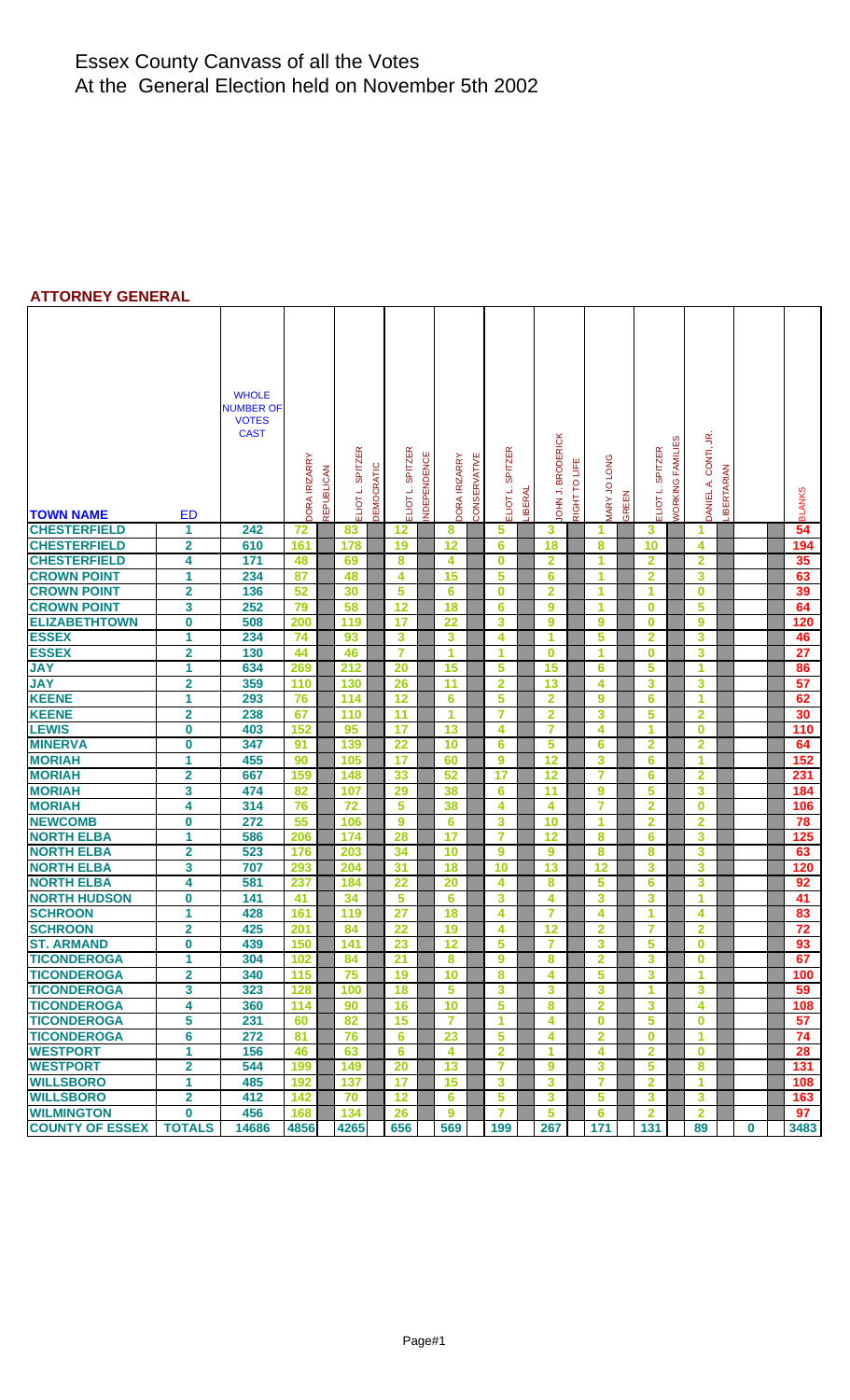#### **ATTORNEY GENERAL**

| <b>TOWN NAME</b>                           | <b>ED</b>                    | <b>WHOLE</b><br><b>NUMBER OF</b><br><b>VOTES</b><br><b>CAST</b> | <b>DORA IRIZARRY</b> | <b>REPUBLICAN</b> | <b>SPITZER</b><br>ELIOT L. | DEMOCRATIC | <b>SPITZER</b><br>NDEPENDENCE<br>ELIOT L. | DORA IRIZARRY   | CONSERVATIVE | <b>SPITZER</b><br>ELIOT L. | LIBERAL | <b>IOHN J. BRODERICK</b> | RIGHT TO LIFE | <b>VIARY JO LONG</b>    | GREEN | <b>SPITZER</b><br>ELIOT L. | <b><i>NORKING FAMILIES</i></b> | DANIEL A. CONTI, JR.    | LIBERTARIAN |  | <b>BLANKS</b>   |
|--------------------------------------------|------------------------------|-----------------------------------------------------------------|----------------------|-------------------|----------------------------|------------|-------------------------------------------|-----------------|--------------|----------------------------|---------|--------------------------|---------------|-------------------------|-------|----------------------------|--------------------------------|-------------------------|-------------|--|-----------------|
| <b>CHESTERFIELD</b><br><b>CHESTERFIELD</b> | 1<br>$\overline{\mathbf{2}}$ | 242<br>610                                                      | 72<br>161            |                   | 83<br>178                  |            | 12<br>19                                  | 8<br>12         |              | 5<br>6                     |         | 3<br>18                  |               | 1<br>8                  |       | 3<br>10                    |                                | 1<br>4                  |             |  | 54<br>194       |
| <b>CHESTERFIELD</b>                        | 4                            | 171                                                             | 48                   |                   | 69                         |            | 8                                         | 4               |              | $\bf{0}$                   |         | $\overline{\mathbf{2}}$  |               | 1                       |       | $\overline{2}$             |                                | $\overline{2}$          |             |  | 35              |
| <b>CROWN POINT</b>                         | 1                            | 234                                                             | 87                   |                   | 48                         |            | 4                                         | 15              |              | 5                          |         | $6\phantom{1}6$          |               | 1                       |       | $\overline{2}$             |                                | 3                       |             |  | 63              |
| <b>CROWN POINT</b>                         | $\overline{\mathbf{2}}$      | 136                                                             | 52                   |                   | 30                         |            | 5                                         | 6               |              | $\bf{0}$                   |         | $\overline{2}$           |               | 1                       |       | 1                          |                                | $\bf{0}$                |             |  | 39              |
| <b>CROWN POINT</b>                         | 3                            | 252                                                             | 79                   |                   | 58                         |            | 12                                        | 18              |              | 6                          |         | 9                        |               | 1                       |       | $\bf{0}$                   |                                | 5                       |             |  | 64              |
| <b>ELIZABETHTOWN</b>                       | 0                            | 508                                                             | 200                  |                   | 119                        |            | 17                                        | $\overline{22}$ |              | 3                          |         | 9                        |               | 9                       |       | $\bf{0}$                   |                                | 9                       |             |  | 120             |
| <b>ESSEX</b>                               | 1                            | 234                                                             | 74                   |                   | 93                         |            | 3                                         | 3               |              | $\overline{\mathbf{4}}$    |         | 1                        |               | 5                       |       | $\overline{\mathbf{2}}$    |                                | 3                       |             |  | 46              |
| <b>ESSEX</b>                               | $\overline{\mathbf{2}}$      | 130                                                             | 44                   |                   | 46                         |            | 7                                         | 1               |              | 1                          |         | $\bf{0}$                 |               | 1                       |       | $\bf{0}$                   |                                | 3                       |             |  | $\overline{27}$ |
| <b>JAY</b>                                 | 1                            | 634                                                             | 269                  |                   | 212                        |            | 20                                        | 15              |              | 5                          |         | 15                       |               | 6                       |       | 5                          |                                | 1                       |             |  | 86              |
| <b>JAY</b>                                 | $\overline{\mathbf{2}}$      | 359                                                             | 110                  |                   | 130                        |            | 26                                        | 11              |              | $\overline{\mathbf{2}}$    |         | 13                       |               | 4                       |       | 3                          |                                | 3                       |             |  | 57              |
| <b>KEENE</b>                               | 1                            | 293                                                             | 76                   |                   | 114                        |            | 12                                        | 6               |              | 5                          |         | $\overline{2}$           |               | $\overline{9}$          |       | $6\phantom{1}6$            |                                | 1                       |             |  | 62              |
| <b>KEENE</b>                               | $\overline{\mathbf{2}}$      | 238                                                             | 67                   |                   | 110                        |            | 11                                        | 1               |              | $\overline{7}$             |         | $\overline{2}$           |               | 3                       |       | 5                          |                                | $\overline{2}$          |             |  | 30              |
| <b>LEWIS</b>                               | 0                            | 403                                                             | 152                  |                   | 95                         |            | 17                                        | 13              |              | 4                          |         | $\overline{7}$           |               | 4                       |       | 1                          |                                | $\bf{0}$                |             |  | 110             |
| <b>MINERVA</b>                             | 0                            | 347                                                             | 91                   |                   | 139                        |            | 22                                        | 10              |              | $6\phantom{1}6$            |         | 5                        |               | 6                       |       | $\overline{2}$             |                                | $\overline{\mathbf{2}}$ |             |  | 64              |
| <b>MORIAH</b>                              | 1                            | 455                                                             | 90                   |                   | 105                        |            | 17                                        | 60              |              | 9                          |         | 12                       |               | 3                       |       | 6                          |                                | 1                       |             |  | 152             |
| <b>MORIAH</b>                              | $\overline{\mathbf{2}}$      | 667                                                             | 159                  |                   | 148                        |            | 33                                        | 52              |              | 17                         |         | 12                       |               | $\overline{\mathbf{7}}$ |       | 6                          |                                | $\overline{2}$          |             |  | 231             |
| <b>MORIAH</b>                              | 3                            | 474                                                             | 82                   |                   | 107                        |            | 29                                        | 38              |              | 6                          |         | 11                       |               | 9                       |       | 5                          |                                | 3                       |             |  | 184             |
| <b>MORIAH</b>                              | 4                            | 314                                                             | 76                   |                   | 72                         |            | 5                                         | 38              |              | 4                          |         | 4                        |               | $\overline{7}$          |       | $\overline{2}$             |                                | $\bf{0}$                |             |  | 106             |
| <b>NEWCOMB</b>                             | 0                            | 272                                                             | 55                   |                   | 106                        |            | $\boldsymbol{9}$                          | 6               |              | 3                          |         | 10                       |               | 1                       |       | $\overline{2}$             |                                | $\overline{2}$          |             |  | 78              |
| <b>NORTH ELBA</b>                          | 1                            | 586                                                             | 206                  |                   | 174                        |            | 28                                        | 17              |              | $\overline{7}$             |         | 12                       |               | 8                       |       | 6                          |                                | 3                       |             |  | 125             |
| <b>NORTH ELBA</b>                          | 2                            | 523                                                             | 176                  |                   | 203                        |            | 34                                        | 10              |              | 9                          |         | 9                        |               | 8                       |       | 8                          |                                | 3                       |             |  | 63              |
| <b>NORTH ELBA</b>                          | 3                            | 707                                                             | 293                  |                   | 204                        |            | 31                                        | 18              |              | 10                         |         | 13                       |               | 12                      |       | 3                          |                                | 3                       |             |  | 120             |
| <b>NORTH ELBA</b>                          | 4                            | 581                                                             | 237                  |                   | 184                        |            | 22                                        | 20              |              | 4                          |         | 8                        |               | 5                       |       | 6                          |                                | 3                       |             |  | 92              |
| <b>NORTH HUDSON</b>                        | 0                            | 141                                                             | 41                   |                   | 34                         |            | 5                                         | 6               |              | 3                          |         | 4                        |               | 3                       |       | 3                          |                                | 1                       |             |  | 41              |
| <b>SCHROON</b>                             | 1                            | 428                                                             | 161                  |                   | 119                        |            | 27                                        | 18              |              | 4                          |         | $\overline{7}$           |               | 4                       |       | 1                          |                                | 4                       |             |  | 83              |
| <b>SCHROON</b>                             | $\overline{2}$               | 425                                                             | 201                  |                   | 84                         |            | 22                                        | 19              |              | 4                          |         | 12                       |               | $\overline{2}$          |       | 7                          |                                | $\overline{2}$          |             |  | $\overline{72}$ |
| <b>ST. ARMAND</b>                          | $\bf{0}$                     | 439                                                             | 150                  |                   | 141                        |            | 23                                        | 12              |              | 5                          |         | 7                        |               | 3                       |       | 5                          |                                | $\bf{0}$                |             |  | 93              |
| <b>TICONDEROGA</b>                         | 1                            | 304                                                             | 102                  |                   | 84                         |            | 21                                        | 8               |              | 9                          |         | 8                        |               | $\mathbf{2}$            |       | 3                          |                                | $\bf{0}$                |             |  | 67              |
| <b>TICONDEROGA</b>                         | $\overline{2}$               | 340                                                             | 115                  |                   | 75                         |            | 19                                        | 10              |              | 8                          |         | 4                        |               | 5                       |       | 3                          |                                | 1                       |             |  | 100             |
| <b>TICONDEROGA</b>                         | 3                            | 323                                                             | 128                  |                   | 100                        |            | 18                                        | 5               |              | 3                          |         | 3                        |               | 3                       |       | 1                          |                                | 3                       |             |  | 59              |
| <b>TICONDEROGA</b>                         | 4                            | 360                                                             | 114                  |                   | 90                         |            | 16                                        | 10              |              | 5                          |         | 8                        |               | $\overline{2}$          |       | 3                          |                                | 4                       |             |  | 108             |
| <b>TICONDEROGA</b>                         | 5                            | 231                                                             | 60                   |                   | 82                         |            | 15                                        | $\overline{7}$  |              | 1                          |         | 4                        |               | $\bf{0}$                |       | 5                          |                                | $\bf{0}$                |             |  | 57              |
| <b>TICONDEROGA</b>                         | 6                            | 272<br>156                                                      | 81                   |                   | 76                         |            | 6                                         | 23              |              | 5                          |         | 4                        |               | 2                       |       | $\bf{0}$                   |                                | 1                       |             |  | 74              |
| <b>WESTPORT</b><br><b>WESTPORT</b>         |                              |                                                                 | 46                   |                   | 63                         |            | 6                                         | 4               |              | $\overline{2}$             |         | 1                        |               | 4                       |       | $\overline{2}$             |                                | $\bf{0}$                |             |  | 28              |
|                                            | 1                            |                                                                 |                      |                   |                            |            |                                           |                 |              |                            |         |                          |               |                         |       |                            |                                |                         |             |  |                 |
|                                            | 2                            | 544                                                             | 199                  |                   | 149                        |            | 20                                        | 13              |              | $\overline{7}$             |         | 9                        |               | 3                       |       | $\overline{\mathbf{5}}$    |                                | 8                       |             |  | 131             |
| <b>WILLSBORO</b>                           | 1                            | 485                                                             | 192                  |                   | 137                        |            | 17                                        | 15              |              | 3                          |         | 3                        |               | $\overline{7}$          |       | $\overline{\mathbf{2}}$    |                                | 1                       |             |  | 108             |
| <b>WILLSBORO</b><br><b>WILMINGTON</b>      | $\overline{2}$<br>0          | 412<br>456                                                      | 142<br>168           |                   | 70<br>134                  |            | 12<br>26                                  | 6<br>9          |              | 5<br>$\overline{7}$        |         | 3<br>5                   |               | 5<br>6                  |       | 3<br>$\overline{2}$        |                                | 3<br>$\mathbf{2}$       |             |  | 163<br>97       |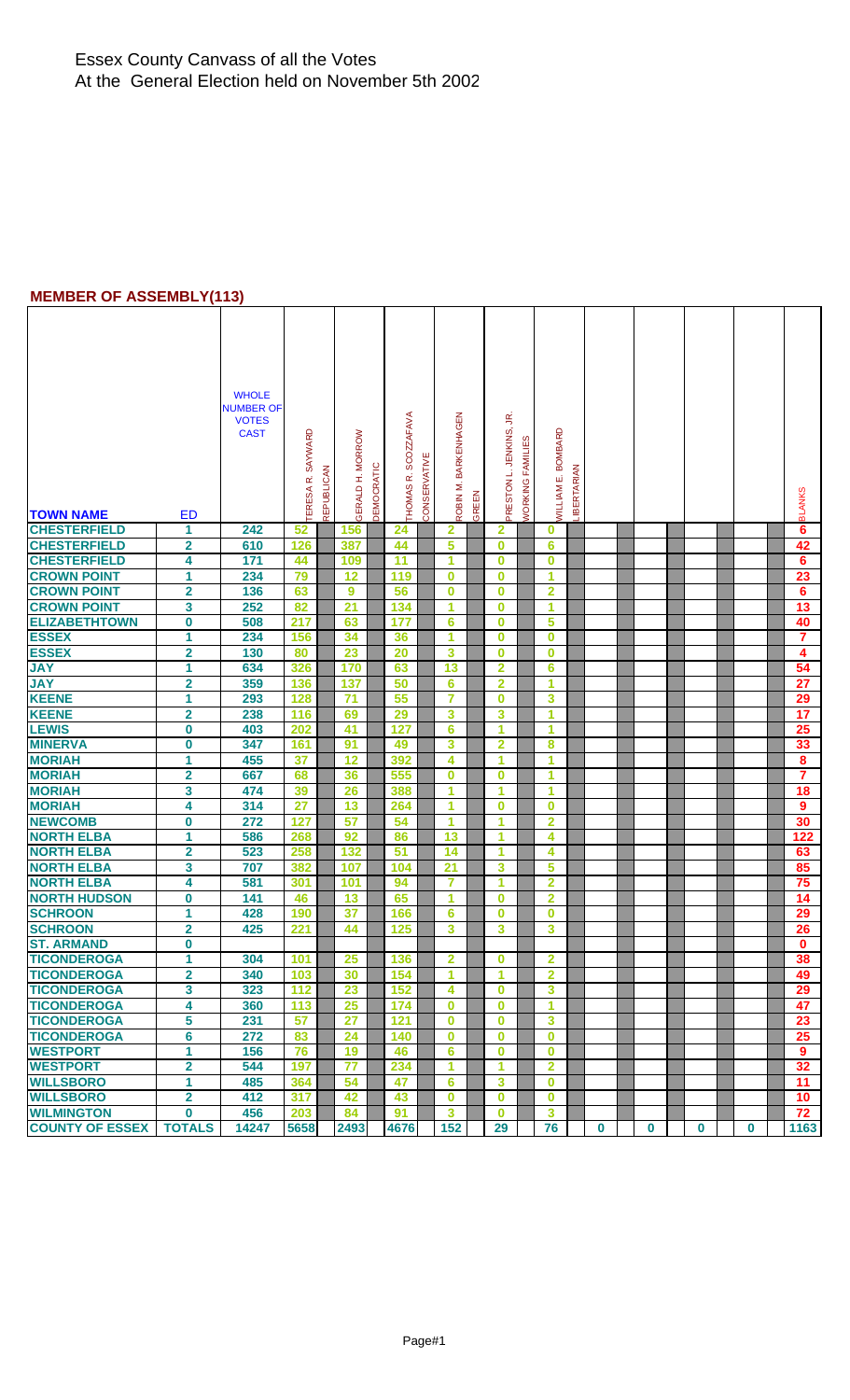### **MEMBER OF ASSEMBLY(113)**

|                        |                         | <b>WHOLE</b><br><b>NUMBER OF</b><br><b>VOTES</b><br><b>CAST</b> | TERESA R. SAYWARD | REPUBLICAN | GERALD H. MORROW | <b>DEMOCRATIC</b> | THOMAS R. SCOZZAFAVA | CONSERVATIVE | ROBIN M. BARKENHAGEN |       | ΞŚ<br>PRESTON L. JENKINS | WORKING FAMILIES | <b><i>NILLIAM E. BOMBARD</i></b> | <b>IBERTARIAN</b> |             |          |          |             |                  |
|------------------------|-------------------------|-----------------------------------------------------------------|-------------------|------------|------------------|-------------------|----------------------|--------------|----------------------|-------|--------------------------|------------------|----------------------------------|-------------------|-------------|----------|----------|-------------|------------------|
| <b>TOWN NAME</b>       | <b>ED</b>               |                                                                 |                   |            |                  |                   |                      |              |                      | GREEN |                          |                  |                                  |                   |             |          |          |             | <b>BLANKS</b>    |
| <b>CHESTERFIELD</b>    | 1                       | 242                                                             | 52                |            | 156              |                   | 24                   |              | $\overline{2}$       |       | $\mathbf{2}$             |                  | 0                                |                   |             |          |          |             | 6                |
| <b>CHESTERFIELD</b>    | $\overline{\mathbf{2}}$ | 610                                                             | 126               |            | 387              |                   | 44                   |              | 5                    |       | $\bf{0}$                 |                  | 6                                |                   |             |          |          |             | 42               |
| <b>CHESTERFIELD</b>    | 4                       | 171                                                             | 44                |            | 109              |                   | 11                   |              | 1                    |       | $\bf{0}$                 |                  | $\bf{0}$                         |                   |             |          |          |             | 6                |
| <b>CROWN POINT</b>     | 1                       | 234                                                             | 79                |            | 12               |                   | 119                  |              | $\bf{0}$             |       | $\bf{0}$                 |                  | 1                                |                   |             |          |          |             | 23               |
| <b>CROWN POINT</b>     | $\overline{\mathbf{2}}$ | 136                                                             | 63                |            | 9                |                   | 56                   |              | $\bf{0}$             |       | $\bf{0}$                 |                  | $\overline{2}$                   |                   |             |          |          |             | 6                |
| <b>CROWN POINT</b>     | 3                       | 252                                                             | 82                |            | 21               |                   | 134                  |              | 1                    |       | $\bf{0}$                 |                  | 1                                |                   |             |          |          |             | 13               |
| <b>ELIZABETHTOWN</b>   | $\overline{\mathbf{0}}$ | 508                                                             | 217               |            | 63               |                   | 177                  |              | 6                    |       | $\bf{0}$                 |                  | 5                                |                   |             |          |          |             | 40               |
| <b>ESSEX</b>           | 1                       | 234                                                             | 156               |            | 34               |                   | 36                   |              | 1                    |       | $\bf{0}$                 |                  | $\bf{0}$                         |                   |             |          |          |             | $\overline{7}$   |
| <b>ESSEX</b>           | $\overline{\mathbf{2}}$ | 130                                                             | 80                |            | 23               |                   | 20                   |              | 3                    |       | $\bf{0}$                 |                  | $\bf{0}$                         |                   |             |          |          |             | 4                |
| <b>JAY</b>             | 1                       | 634                                                             | 326               |            | 170              |                   | 63                   |              | 13                   |       | $\overline{2}$           |                  | 6                                |                   |             |          |          |             | 54               |
| <b>JAY</b>             | $\overline{\mathbf{2}}$ | 359                                                             | 136               |            | 137              |                   | 50                   |              | 6                    |       | $\overline{2}$           |                  | 1                                |                   |             |          |          |             | $\overline{27}$  |
| <b>KEENE</b>           | 1                       | 293                                                             | 128               |            | 71               |                   | 55                   |              | 7                    |       | $\bf{0}$                 |                  | 3                                |                   |             |          |          |             | 29               |
| <b>KEENE</b>           | $\overline{\mathbf{2}}$ | 238                                                             | 116               |            | 69               |                   | 29                   |              | 3                    |       | 3                        |                  | 1                                |                   |             |          |          |             | 17               |
| <b>LEWIS</b>           | $\bf{0}$                | 403                                                             | 202               |            | 41               |                   | 127                  |              | 6                    |       | 1                        |                  | 1                                |                   |             |          |          |             | 25               |
| <b>MINERVA</b>         | 0                       | 347                                                             | 161               |            | 91               |                   | 49                   |              | 3                    |       | $\overline{2}$           |                  | 8                                |                   |             |          |          |             | 33               |
| <b>MORIAH</b>          | 1                       | 455                                                             | 37                |            | 12               |                   | 392                  |              | 4                    |       | 1                        |                  | 1                                |                   |             |          |          |             | $\bf{8}$         |
| <b>MORIAH</b>          | $\overline{\mathbf{2}}$ | 667                                                             | 68                |            | 36               |                   | 555                  |              | $\bf{0}$             |       | $\bf{0}$                 |                  | 1                                |                   |             |          |          |             | $\overline{7}$   |
| <b>MORIAH</b>          | 3                       | 474                                                             | 39                |            | 26               |                   | 388                  |              | 1                    |       | 1                        |                  | 1                                |                   |             |          |          |             | 18               |
| <b>MORIAH</b>          | 4                       | 314                                                             | $\overline{27}$   |            | 13               |                   | 264                  |              | 1                    |       | $\bf{0}$                 |                  | $\bf{0}$                         |                   |             |          |          |             | $\boldsymbol{9}$ |
| <b>NEWCOMB</b>         | 0                       | 272                                                             | 127               |            | 57               |                   | 54                   |              | 1                    |       | 1                        |                  | $\overline{2}$                   |                   |             |          |          |             | 30               |
| <b>NORTH ELBA</b>      | 1                       | 586                                                             | 268               |            | 92               |                   | 86                   |              | 13                   |       | $\overline{1}$           |                  | 4                                |                   |             |          |          |             | 122              |
| <b>NORTH ELBA</b>      | $\overline{\mathbf{2}}$ | 523                                                             | 258               |            | 132              |                   | 51                   |              | 14                   |       | 1                        |                  | 4                                |                   |             |          |          |             | 63               |
| <b>NORTH ELBA</b>      | 3                       | 707                                                             | 382               |            | 107              |                   | 104                  |              | $\overline{21}$      |       | 3                        |                  | 5                                |                   |             |          |          |             | 85               |
| <b>NORTH ELBA</b>      | 4                       | 581                                                             | 301               |            | 101              |                   | 94                   |              | 7                    |       | 1                        |                  | $\overline{2}$                   |                   |             |          |          |             | 75               |
| <b>NORTH HUDSON</b>    | 0                       | 141                                                             | 46                |            | 13               |                   | 65                   |              | $\blacktriangleleft$ |       | $\bf{0}$                 |                  | $\mathbf{2}$                     |                   |             |          |          |             | 14               |
| <b>SCHROON</b>         | 1                       | 428                                                             | 190               |            | 37               |                   | 166                  |              | 6                    |       | $\bf{0}$                 |                  | $\bf{0}$                         |                   |             |          |          |             | 29               |
| <b>SCHROON</b>         | $\overline{\mathbf{2}}$ | 425                                                             | 221               |            | 44               |                   | 125                  |              | 3                    |       | 3                        |                  | 3                                |                   |             |          |          |             | 26               |
| <b>ST. ARMAND</b>      | 0                       |                                                                 |                   |            |                  |                   |                      |              |                      |       |                          |                  |                                  |                   |             |          |          |             | $\bf{0}$         |
| <b>TICONDEROGA</b>     | 1                       | 304                                                             | 101               |            | 25               |                   | 136                  |              | $\mathbf{2}$         |       | $\bf{0}$                 |                  | $\mathbf{2}$                     |                   |             |          |          |             | 38               |
| <b>TICONDEROGA</b>     | $\overline{\mathbf{2}}$ | 340                                                             | 103               |            | 30               |                   | 154                  |              | 1                    |       | 1                        |                  | 2                                |                   |             |          |          |             | 49               |
| <b>TICONDEROGA</b>     | 3                       | 323                                                             | 112               |            | 23               |                   | 152                  |              | 4                    |       | $\bf{0}$                 |                  | 3                                |                   |             |          |          |             | 29               |
| <b>TICONDEROGA</b>     | 4                       | 360                                                             | 113               |            | 25               |                   | 174                  |              | $\bf{0}$             |       | $\bf{0}$                 |                  | 1                                |                   |             |          |          |             | 47               |
| <b>TICONDEROGA</b>     | 5                       | 231                                                             | 57                |            | 27               |                   | 121                  |              | $\bf{0}$             |       | $\bf{0}$                 |                  | 3                                |                   |             |          |          |             | 23               |
| <b>TICONDEROGA</b>     | 6                       | 272                                                             | 83                |            | 24               |                   | 140                  |              | $\bf{0}$             |       | $\bf{0}$                 |                  | $\bf{0}$                         |                   |             |          |          |             | 25               |
| <b>WESTPORT</b>        | 1                       | 156                                                             | 76                |            | 19               |                   | 46                   |              | $6\phantom{1}6$      |       | $\bf{0}$                 |                  | $\bf{0}$                         |                   |             |          |          |             | $\boldsymbol{9}$ |
| <b>WESTPORT</b>        | $\overline{\mathbf{2}}$ | 544                                                             | 197               |            | $\overline{77}$  |                   | 234                  |              | 1                    |       | 1                        |                  | $\overline{2}$                   |                   |             |          |          |             | 32               |
| <b>WILLSBORO</b>       | 1                       | 485                                                             | 364               |            | 54               |                   | 47                   |              | 6                    |       | 3                        |                  | 0                                |                   |             |          |          |             | 11               |
| <b>WILLSBORO</b>       | $\mathbf{2}$            | 412                                                             | 317               |            | 42               |                   | 43                   |              | $\bf{0}$             |       | $\bf{0}$                 |                  | $\bf{0}$                         |                   |             |          |          |             | 10 <sup>°</sup>  |
| <b>WILMINGTON</b>      | $\mathbf 0$             | 456                                                             | 203               |            | 84               |                   | 91                   |              | 3                    |       | $\bf{0}$                 |                  | 3                                |                   |             |          |          |             | 72               |
| <b>COUNTY OF ESSEX</b> | <b>TOTALS</b>           | 14247                                                           | 5658              |            | 2493             |                   | 4676                 |              | 152                  |       | 29                       |                  | 76                               |                   | $\mathbf 0$ | $\bf{0}$ | $\bf{0}$ | $\mathbf 0$ | 1163             |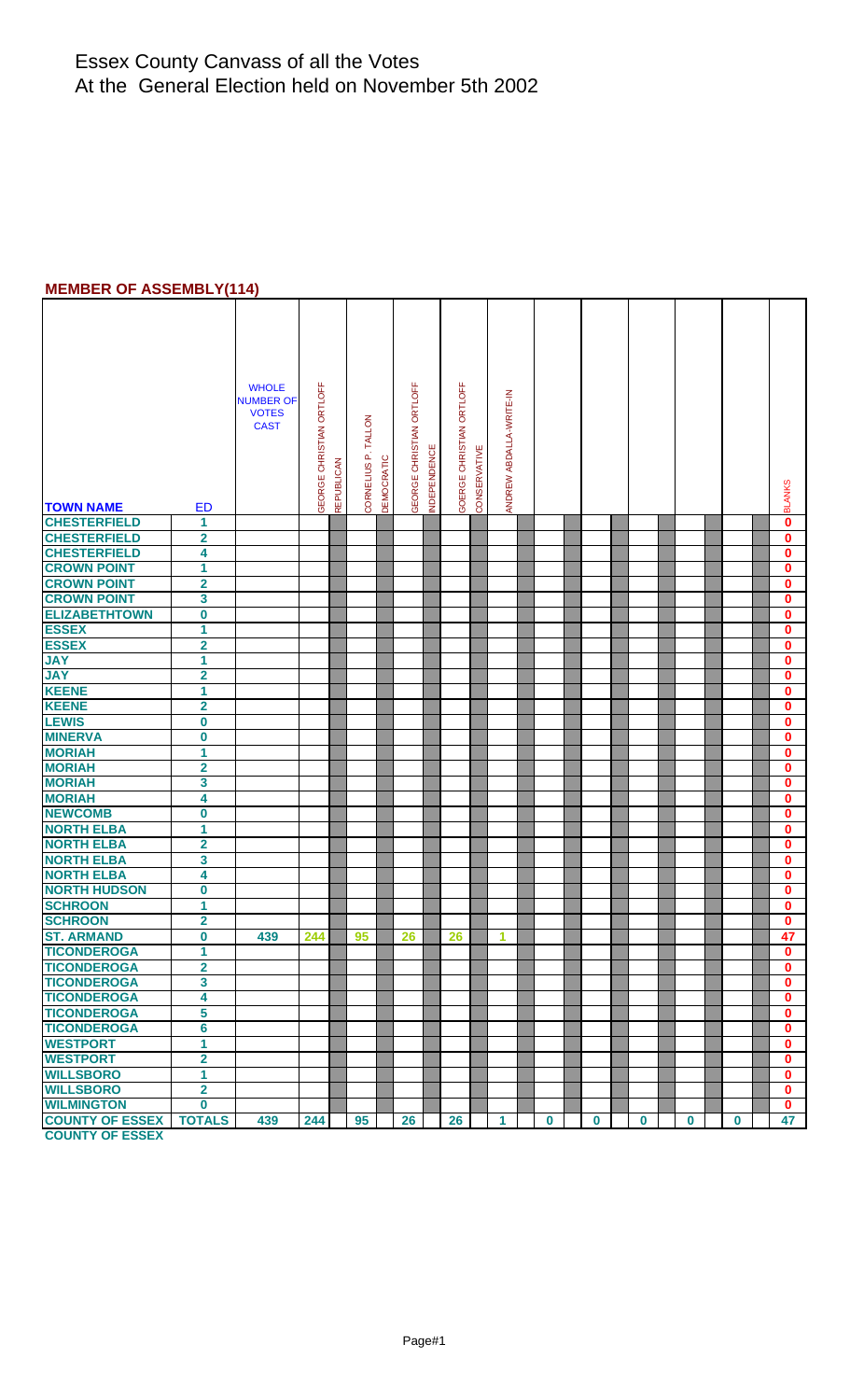#### **MEMBER OF ASSEMBLY(114)**

| <b>TOWN NAME</b><br><b>CHESTERFIELD</b>  | <b>ED</b><br>1          | <b>WHOLE</b><br><b>NUMBER OF</b><br><b>VOTES</b><br><b>CAST</b> | GEORGE CHRISTIAN ORTLOFF<br>REPUBLICAN | CORNELIUS P. TALLON<br><b>DEMOCRATIC</b> | GEORGE CHRISTIAN ORTLOFF<br><b>INDEPENDENCE</b> | GOERGE CHRISTIAN ORTLOFF<br>CONSERVATIVE | ANDREW ABDALLA-WRITE-IN |          |          |          |          |          | <b>BLANKS</b><br>$\bf{0}$ |
|------------------------------------------|-------------------------|-----------------------------------------------------------------|----------------------------------------|------------------------------------------|-------------------------------------------------|------------------------------------------|-------------------------|----------|----------|----------|----------|----------|---------------------------|
|                                          |                         |                                                                 |                                        |                                          |                                                 |                                          |                         |          |          |          |          |          |                           |
| <b>CHESTERFIELD</b>                      | $\overline{\mathbf{2}}$ |                                                                 |                                        |                                          |                                                 |                                          |                         |          |          |          |          |          | $\bf{0}$                  |
| <b>CHESTERFIELD</b>                      | 4                       |                                                                 |                                        |                                          |                                                 |                                          |                         |          |          |          |          |          | $\bf{0}$                  |
| <b>CROWN POINT</b>                       | $\overline{1}$          |                                                                 |                                        |                                          |                                                 |                                          |                         |          |          |          |          |          | $\overline{\mathbf{0}}$   |
| <b>CROWN POINT</b>                       | $\overline{\mathbf{2}}$ |                                                                 |                                        |                                          |                                                 |                                          |                         |          |          |          |          |          | $\bf{0}$                  |
| <b>CROWN POINT</b>                       | 3                       |                                                                 |                                        |                                          |                                                 |                                          |                         |          |          |          |          |          | $\mathbf 0$               |
| <b>ELIZABETHTOWN</b>                     | $\overline{\mathbf{0}}$ |                                                                 |                                        |                                          |                                                 |                                          |                         |          |          |          |          |          | $\mathbf 0$               |
| <b>ESSEX</b>                             | 1                       |                                                                 |                                        |                                          |                                                 |                                          |                         |          |          |          |          |          | $\mathbf{0}$              |
| <b>ESSEX</b>                             | $\overline{\mathbf{2}}$ |                                                                 |                                        |                                          |                                                 |                                          |                         |          |          |          |          |          | $\mathbf 0$               |
| <b>JAY</b>                               | 1                       |                                                                 |                                        |                                          |                                                 |                                          |                         |          |          |          |          |          | $\pmb{0}$                 |
| <b>JAY</b>                               | $\overline{\mathbf{2}}$ |                                                                 |                                        |                                          |                                                 |                                          |                         |          |          |          |          |          | $\mathbf 0$               |
| <b>KEENE</b>                             | 1                       |                                                                 |                                        |                                          |                                                 |                                          |                         |          |          |          |          |          | $\mathbf 0$               |
| <b>KEENE</b>                             | $\overline{\mathbf{2}}$ |                                                                 |                                        |                                          |                                                 |                                          |                         |          |          |          |          |          | $\mathbf 0$               |
| <b>LEWIS</b>                             | $\mathbf 0$             |                                                                 |                                        |                                          |                                                 |                                          |                         |          |          |          |          |          | $\mathbf{0}$              |
| <b>MINERVA</b>                           | $\overline{\mathbf{0}}$ |                                                                 |                                        |                                          |                                                 |                                          |                         |          |          |          |          |          | $\bf{0}$                  |
| <b>MORIAH</b>                            | 1                       |                                                                 |                                        |                                          |                                                 |                                          |                         |          |          |          |          |          | $\bf{0}$                  |
| <b>MORIAH</b>                            | $\overline{\mathbf{2}}$ |                                                                 |                                        |                                          |                                                 |                                          |                         |          |          |          |          |          | $\mathbf 0$               |
| <b>MORIAH</b>                            | 3                       |                                                                 |                                        |                                          |                                                 |                                          |                         |          |          |          |          |          | $\mathbf 0$               |
| <b>MORIAH</b>                            | 4                       |                                                                 |                                        |                                          |                                                 |                                          |                         |          |          |          |          |          | $\mathbf 0$               |
| <b>NEWCOMB</b>                           | $\bf{0}$                |                                                                 |                                        |                                          |                                                 |                                          |                         |          |          |          |          |          | $\mathbf{0}$              |
| <b>NORTH ELBA</b>                        | $\overline{1}$          |                                                                 |                                        |                                          |                                                 |                                          |                         |          |          |          |          |          | $\mathbf 0$               |
| <b>NORTH ELBA</b>                        | $\overline{\mathbf{2}}$ |                                                                 |                                        |                                          |                                                 |                                          |                         |          |          |          |          |          | $\mathbf 0$               |
| <b>NORTH ELBA</b>                        | 3                       |                                                                 |                                        |                                          |                                                 |                                          |                         |          |          |          |          |          | $\bf{0}$                  |
| <b>NORTH ELBA</b>                        | 4                       |                                                                 |                                        |                                          |                                                 |                                          |                         |          |          |          |          |          | $\bf{0}$                  |
| <b>NORTH HUDSON</b>                      | $\bf{0}$                |                                                                 |                                        |                                          |                                                 |                                          |                         |          |          |          |          |          | $\bf{0}$                  |
| <b>SCHROON</b><br>SCHROON                | 1                       |                                                                 |                                        |                                          |                                                 |                                          |                         |          |          |          |          |          | $\bf{0}$                  |
|                                          | $\overline{\mathbf{2}}$ |                                                                 |                                        |                                          |                                                 |                                          |                         |          |          |          |          |          | $\mathbf 0$               |
| <b>ST. ARMAND</b>                        | $\bf{0}$                | 439                                                             | 244                                    | 95                                       | 26                                              | 26                                       | 1                       |          |          |          |          |          | 47                        |
| <b>TICONDEROGA</b>                       | 1                       |                                                                 |                                        |                                          |                                                 |                                          |                         |          |          |          |          |          | $\mathbf{0}$              |
| <b>TICONDEROGA</b>                       | $\overline{\mathbf{2}}$ |                                                                 |                                        |                                          |                                                 |                                          |                         |          |          |          |          |          | $\mathbf{0}$              |
| <b>TICONDEROGA</b>                       | $\overline{3}$          |                                                                 |                                        |                                          |                                                 |                                          |                         |          |          |          |          |          | $\mathbf 0$               |
| <b>TICONDEROGA</b>                       | $\overline{\mathbf{4}}$ |                                                                 |                                        |                                          |                                                 |                                          |                         |          |          |          |          |          | $\mathbf{0}$              |
| <b>TICONDEROGA</b><br>TICONDEROGA        | 5                       |                                                                 |                                        |                                          |                                                 |                                          |                         |          |          |          |          |          | $\mathbf{0}$              |
|                                          | $\overline{\bf{6}}$     |                                                                 |                                        |                                          |                                                 |                                          |                         |          |          |          |          |          | $\mathbf 0$               |
| <b>WESTPORT</b>                          | 1                       |                                                                 |                                        |                                          |                                                 |                                          |                         |          |          |          |          |          | $\pmb{0}$                 |
| <b>WESTPORT</b>                          | $\overline{\mathbf{2}}$ |                                                                 |                                        |                                          |                                                 |                                          |                         |          |          |          |          |          | $\mathbf 0$               |
| <b>WILLSBORO</b>                         | 1                       |                                                                 |                                        |                                          |                                                 |                                          |                         |          |          |          |          |          | $\mathbf 0$               |
| <b>WILLSBORO</b>                         | $\overline{\mathbf{2}}$ |                                                                 |                                        |                                          |                                                 |                                          |                         |          |          |          |          |          | $\mathbf{0}$              |
| WILMINGTON 0<br>COUNTY OF ESSEX   TOTALS |                         |                                                                 |                                        |                                          |                                                 |                                          |                         |          |          |          |          |          | $\mathbf{0}$              |
| <b>COUNTY OF ESSEX</b>                   |                         | 439                                                             | 244                                    | 95                                       | 26                                              | 26                                       | 1                       | $\bf{0}$ | $\bf{0}$ | $\bf{0}$ | $\bf{0}$ | $\bf{0}$ | 47                        |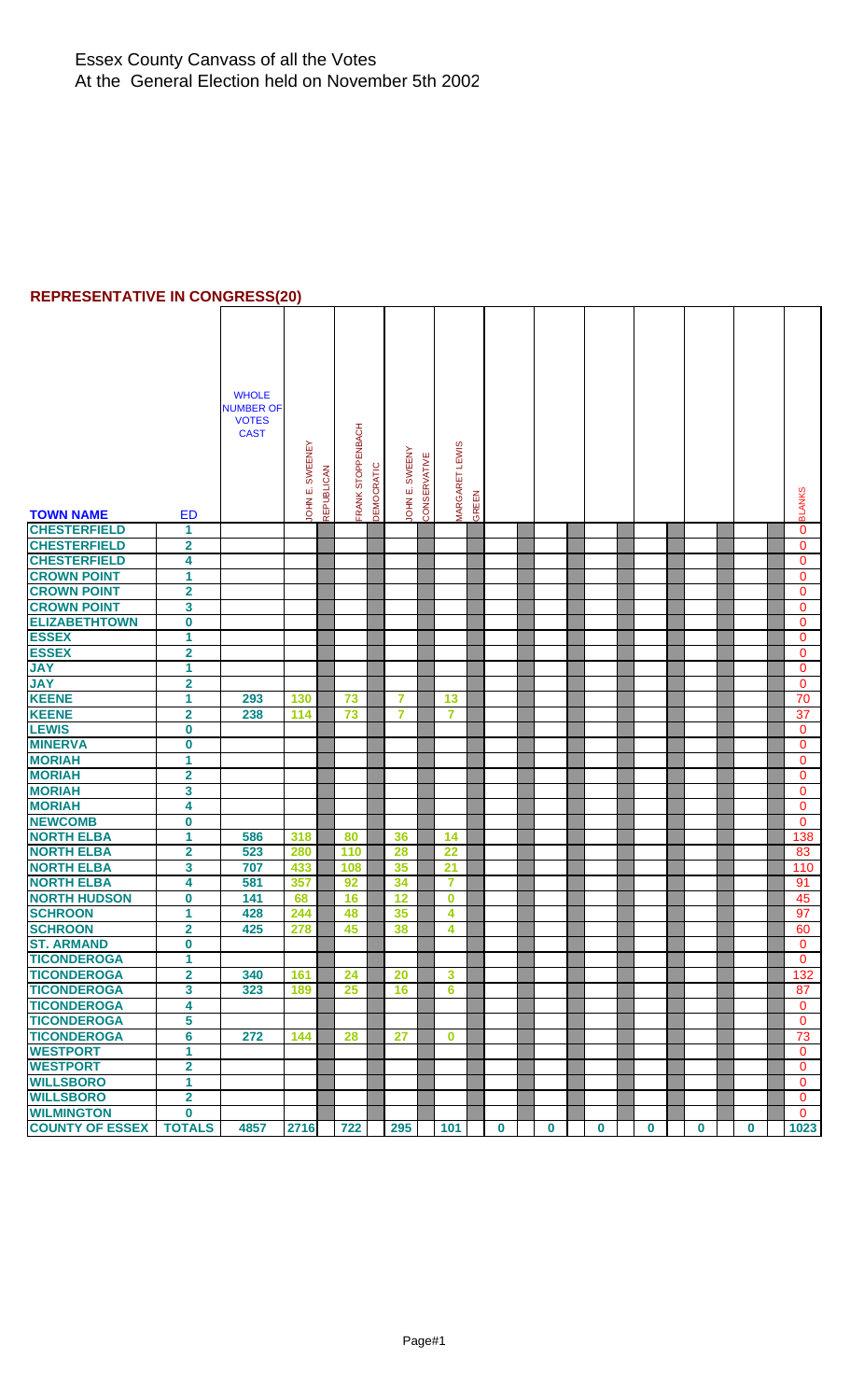## **REPRESENTATIVE IN CONGRESS(20)**

| <b>TOWN NAME</b>       | <b>ED</b>               | <b>WHOLE</b><br><b>NUMBER OF</b><br><b>VOTES</b><br><b>CAST</b> | JOHN E. SWEENEY | <b>REPUBLICAN</b> | FRANK STOPPENBACH | DEMOCRATIC | JOHN E. SWEENY | CONSERVATIVE | MARGARET LEWIS          | GREEN |          |          |             |          |          |             | <b>BLANKS</b> |
|------------------------|-------------------------|-----------------------------------------------------------------|-----------------|-------------------|-------------------|------------|----------------|--------------|-------------------------|-------|----------|----------|-------------|----------|----------|-------------|---------------|
| <b>CHESTERFIELD</b>    | 1                       |                                                                 |                 |                   |                   |            |                |              |                         |       |          |          |             |          |          |             | $\mathbf{0}$  |
| <b>CHESTERFIELD</b>    |                         |                                                                 |                 |                   |                   |            |                |              |                         |       |          |          |             |          |          |             |               |
|                        | $\mathbf 2$             |                                                                 |                 |                   |                   |            |                |              |                         |       |          |          |             |          |          |             | $\mathbf 0$   |
| <b>CHESTERFIELD</b>    | 4                       |                                                                 |                 |                   |                   |            |                |              |                         |       |          |          |             |          |          |             | $\mathbf{0}$  |
| <b>CROWN POINT</b>     | 1                       |                                                                 |                 |                   |                   |            |                |              |                         |       |          |          |             |          |          |             | $\mathbf{0}$  |
| <b>CROWN POINT</b>     | $\overline{\mathbf{2}}$ |                                                                 |                 |                   |                   |            |                |              |                         |       |          |          |             |          |          |             | $\mathbf 0$   |
| <b>CROWN POINT</b>     | 3                       |                                                                 |                 |                   |                   |            |                |              |                         |       |          |          |             |          |          |             | $\mathbf 0$   |
| <b>ELIZABETHTOWN</b>   | $\boldsymbol{0}$        |                                                                 |                 |                   |                   |            |                |              |                         |       |          |          |             |          |          |             | $\mathbf{0}$  |
| <b>ESSEX</b>           | 1                       |                                                                 |                 |                   |                   |            |                |              |                         |       |          |          |             |          |          |             | $\mathbf{0}$  |
| <b>ESSEX</b>           | $\overline{\mathbf{2}}$ |                                                                 |                 |                   |                   |            |                |              |                         |       |          |          |             |          |          |             | $\mathbf{0}$  |
| <b>JAY</b>             | 1                       |                                                                 |                 |                   |                   |            |                |              |                         |       |          |          |             |          |          |             | $\mathbf{0}$  |
| <b>JAY</b>             | $\overline{\mathbf{2}}$ |                                                                 |                 |                   |                   |            |                |              |                         |       |          |          |             |          |          |             | $\mathbf{0}$  |
| <b>KEENE</b>           | 1                       | 293                                                             | 130             |                   | 73                |            | 7              |              | 13                      |       |          |          |             |          |          |             | 70            |
| <b>KEENE</b>           | $\overline{\mathbf{2}}$ | 238                                                             | 114             |                   | 73                |            | $\overline{7}$ |              | $\overline{7}$          |       |          |          |             |          |          |             | 37            |
| <b>LEWIS</b>           | 0                       |                                                                 |                 |                   |                   |            |                |              |                         |       |          |          |             |          |          |             | $\mathbf 0$   |
| <b>MINERVA</b>         | 0                       |                                                                 |                 |                   |                   |            |                |              |                         |       |          |          |             |          |          |             | $\mathbf{0}$  |
| <b>MORIAH</b>          | 1                       |                                                                 |                 |                   |                   |            |                |              |                         |       |          |          |             |          |          |             | $\mathbf{0}$  |
| <b>MORIAH</b>          | $\overline{\mathbf{2}}$ |                                                                 |                 |                   |                   |            |                |              |                         |       |          |          |             |          |          |             | $\mathbf 0$   |
| <b>MORIAH</b>          | 3                       |                                                                 |                 |                   |                   |            |                |              |                         |       |          |          |             |          |          |             | $\mathbf{0}$  |
| <b>MORIAH</b>          |                         |                                                                 |                 |                   |                   |            |                |              |                         |       |          |          |             |          |          |             |               |
|                        | 4                       |                                                                 |                 |                   |                   |            |                |              |                         |       |          |          |             |          |          |             | $\mathbf 0$   |
| <b>NEWCOMB</b>         | 0                       |                                                                 |                 |                   |                   |            |                |              |                         |       |          |          |             |          |          |             | $\mathbf 0$   |
| <b>NORTH ELBA</b>      | 1                       | 586                                                             | 318             |                   | 80                |            | 36             |              | 14                      |       |          |          |             |          |          |             | 138           |
| <b>NORTH ELBA</b>      | $\overline{\mathbf{2}}$ | 523                                                             | 280             |                   | 110               |            | 28             |              | 22                      |       |          |          |             |          |          |             | 83            |
| <b>NORTH ELBA</b>      | 3                       | 707                                                             | 433             |                   | 108               |            | 35             |              | 21                      |       |          |          |             |          |          |             | 110           |
| <b>NORTH ELBA</b>      | 4                       | 581                                                             | 357             |                   | 92                |            | 34             |              | $\overline{7}$          |       |          |          |             |          |          |             | 91            |
| <b>NORTH HUDSON</b>    | $\mathbf 0$             | 141                                                             | 68              |                   | 16                |            | 12             |              | $\bf{0}$                |       |          |          |             |          |          |             | 45            |
| <b>SCHROON</b>         | 1                       | 428                                                             | 244             |                   | 48                |            | 35             |              | 4                       |       |          |          |             |          |          |             | 97            |
| <b>SCHROON</b>         | 2                       | 425                                                             | 278             |                   | 45                |            | 38             |              | $\overline{\mathbf{4}}$ |       |          |          |             |          |          |             | 60            |
| <b>ST. ARMAND</b>      | $\overline{\mathbf{0}}$ |                                                                 |                 |                   |                   |            |                |              |                         |       |          |          |             |          |          |             | $\mathbf{0}$  |
| <b>TICONDEROGA</b>     | 1                       |                                                                 |                 |                   |                   |            |                |              |                         |       |          |          |             |          |          |             | $\mathbf{0}$  |
| <b>TICONDEROGA</b>     | $\overline{\mathbf{2}}$ | 340                                                             | 161             |                   | 24                |            | 20             |              | $\mathbf{3}$            |       |          |          |             |          |          |             | 132           |
| <b>TICONDEROGA</b>     | 3                       | 323                                                             | 189             |                   | 25                |            | 16             |              | $6\phantom{1}6$         |       |          |          |             |          |          |             | 87            |
| <b>TICONDEROGA</b>     | 4                       |                                                                 |                 |                   |                   |            |                |              |                         |       |          |          |             |          |          |             | $\mathbf{0}$  |
| <b>TICONDEROGA</b>     | 5                       |                                                                 |                 |                   |                   |            |                |              |                         |       |          |          |             |          |          |             | $\mathbf{0}$  |
| <b>TICONDEROGA</b>     | 6                       | 272                                                             | 144             |                   | 28                |            | 27             |              | $\bf{0}$                |       |          |          |             |          |          |             | 73            |
| <b>WESTPORT</b>        | 1                       |                                                                 |                 |                   |                   |            |                |              |                         |       |          |          |             |          |          |             | $\mathbf 0$   |
| <b>WESTPORT</b>        | $\overline{\mathbf{2}}$ |                                                                 |                 |                   |                   |            |                |              |                         |       |          |          |             |          |          |             | $\mathbf 0$   |
| <b>WILLSBORO</b>       | 1                       |                                                                 |                 |                   |                   |            |                |              |                         |       |          |          |             |          |          |             | $\mathbf 0$   |
| <b>WILLSBORO</b>       | $\overline{\mathbf{2}}$ |                                                                 |                 |                   |                   |            |                |              |                         |       |          |          |             |          |          |             | $\mathbf 0$   |
| <b>WILMINGTON</b>      | 0                       |                                                                 |                 |                   |                   |            |                |              |                         |       |          |          |             |          |          |             | $\mathbf{0}$  |
| <b>COUNTY OF ESSEX</b> | <b>TOTALS</b>           | 4857                                                            | 2716            |                   | 722               |            | 295            |              | 101                     |       | $\bf{0}$ | $\bf{0}$ | $\mathbf 0$ | $\bf{0}$ | $\bf{0}$ | $\mathbf 0$ | 1023          |
|                        |                         |                                                                 |                 |                   |                   |            |                |              |                         |       |          |          |             |          |          |             |               |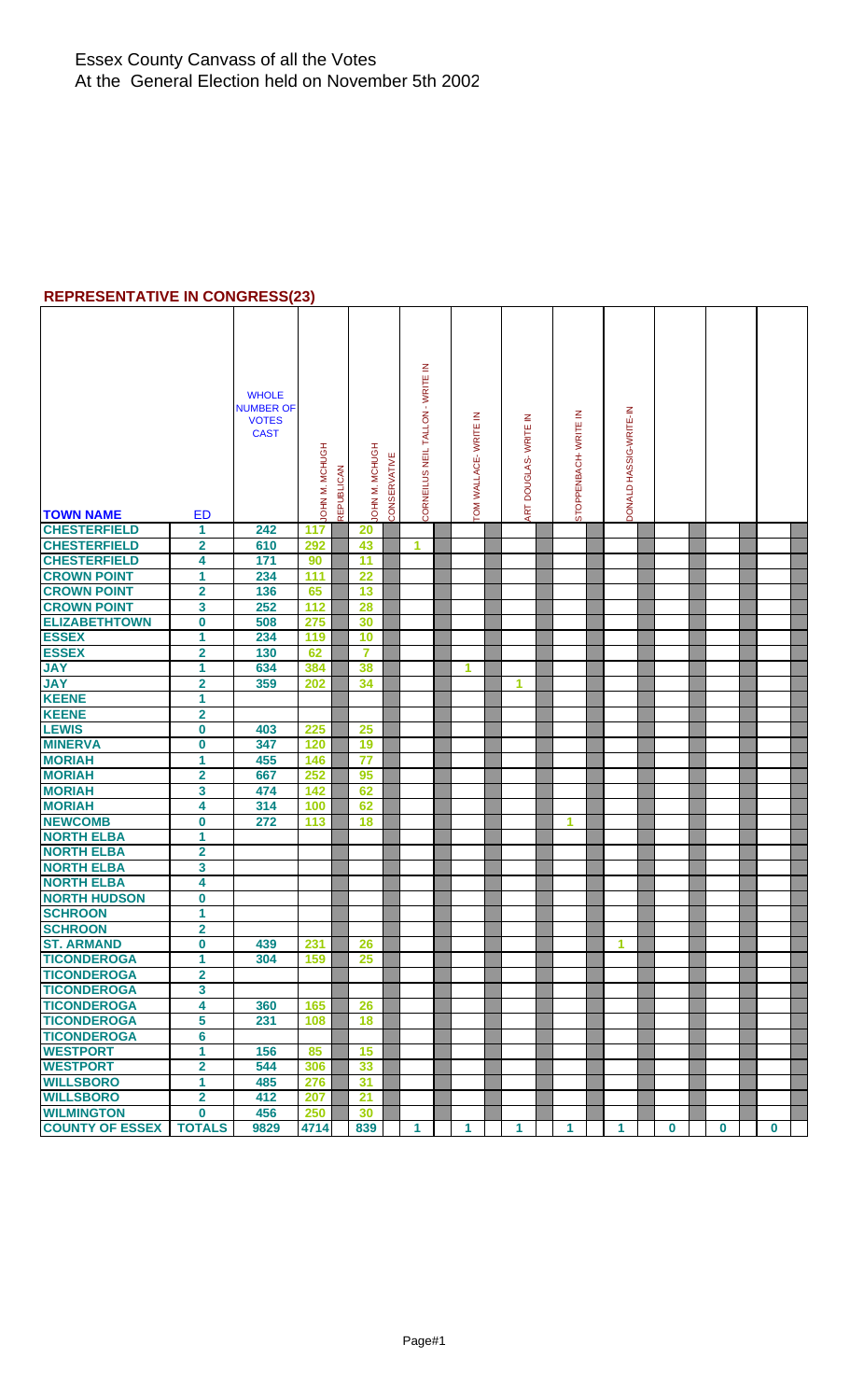#### **REPRESENTATIVE IN CONGRESS(23)**

|                                                      |                         | <b>WHOLE</b><br><b>NUMBER OF</b><br><b>VOTES</b><br><b>CAST</b> |                |                   |                 |              | CORNEILUS NEIL TALLON - WRITE IN | TOM WALLACE-WRITE IN | DOUGLAS-WRITE IN | STOPPENBACH- WRITE IN | DONALD HASSIG-WRITE-IN |          |          |          |  |
|------------------------------------------------------|-------------------------|-----------------------------------------------------------------|----------------|-------------------|-----------------|--------------|----------------------------------|----------------------|------------------|-----------------------|------------------------|----------|----------|----------|--|
|                                                      |                         |                                                                 | JOHN M. MCHUGH | <b>REPUBLICAN</b> | JOHN M. MCHUGH  | CONSERVATIVE |                                  |                      |                  |                       |                        |          |          |          |  |
| <b>TOWN NAME</b>                                     | <b>ED</b>               |                                                                 |                |                   |                 |              |                                  |                      | ART              |                       |                        |          |          |          |  |
| <b>CHESTERFIELD</b>                                  | 1                       | 242                                                             | 117            |                   | 20              |              |                                  |                      |                  |                       |                        |          |          |          |  |
| <b>CHESTERFIELD</b>                                  | $\overline{\mathbf{2}}$ | 610                                                             | 292            |                   | 43              |              | 1                                |                      |                  |                       |                        |          |          |          |  |
| <b>CHESTERFIELD</b>                                  | 4                       | 171                                                             | 90             |                   | 11              |              |                                  |                      |                  |                       |                        |          |          |          |  |
| <b>CROWN POINT</b>                                   | 1                       | 234                                                             | 111            |                   | $\overline{22}$ |              |                                  |                      |                  |                       |                        |          |          |          |  |
| <b>CROWN POINT</b>                                   | $\overline{\mathbf{2}}$ | 136                                                             | 65             |                   | 13              |              |                                  |                      |                  |                       |                        |          |          |          |  |
| <b>CROWN POINT</b>                                   | 3                       | 252                                                             | 112            |                   | 28              |              |                                  |                      |                  |                       |                        |          |          |          |  |
| <b>ELIZABETHTOWN</b>                                 | $\overline{\mathbf{0}}$ | 508                                                             | 275            |                   | 30              |              |                                  |                      |                  |                       |                        |          |          |          |  |
| <b>ESSEX</b>                                         | 1                       | 234                                                             | 119            |                   | 10              |              |                                  |                      |                  |                       |                        |          |          |          |  |
| <b>ESSEX</b>                                         | $\overline{\mathbf{2}}$ | 130                                                             | 62             |                   | $\overline{7}$  |              |                                  |                      |                  |                       |                        |          |          |          |  |
| <b>JAY</b>                                           | 1                       | 634                                                             | 384            |                   | 38              |              |                                  | 1                    |                  |                       |                        |          |          |          |  |
| <b>JAY</b>                                           | $\overline{2}$          | 359                                                             | 202            |                   | 34              |              |                                  |                      | 1                |                       |                        |          |          |          |  |
| <b>KEENE</b>                                         | 1                       |                                                                 |                |                   |                 |              |                                  |                      |                  |                       |                        |          |          |          |  |
| <b>KEENE</b>                                         | $\overline{\mathbf{2}}$ |                                                                 |                |                   |                 |              |                                  |                      |                  |                       |                        |          |          |          |  |
| <b>LEWIS</b>                                         | $\boldsymbol{0}$        | 403                                                             | 225            |                   | 25              |              |                                  |                      |                  |                       |                        |          |          |          |  |
| <b>MINERVA</b>                                       | $\mathbf 0$             | 347                                                             | 120            |                   | 19              |              |                                  |                      |                  |                       |                        |          |          |          |  |
| <b>MORIAH</b>                                        | 1                       | 455                                                             | 146            |                   | $\overline{77}$ |              |                                  |                      |                  |                       |                        |          |          |          |  |
| <b>MORIAH</b>                                        | $\overline{\mathbf{2}}$ | 667                                                             | 252            |                   | 95              |              |                                  |                      |                  |                       |                        |          |          |          |  |
| <b>MORIAH</b>                                        | 3                       | 474                                                             | 142            |                   | 62              |              |                                  |                      |                  |                       |                        |          |          |          |  |
| <b>MORIAH</b>                                        | 4                       | 314                                                             | 100            |                   | 62              |              |                                  |                      |                  |                       |                        |          |          |          |  |
| <b>NEWCOMB</b>                                       | $\overline{\mathbf{0}}$ | 272                                                             | 113            |                   | 18              |              |                                  |                      |                  | 1                     |                        |          |          |          |  |
| <b>NORTH ELBA</b>                                    | 1                       |                                                                 |                |                   |                 |              |                                  |                      |                  |                       |                        |          |          |          |  |
| <b>NORTH ELBA</b>                                    | $\overline{\mathbf{2}}$ |                                                                 |                |                   |                 |              |                                  |                      |                  |                       |                        |          |          |          |  |
| <b>NORTH ELBA</b>                                    | $\overline{\mathbf{3}}$ |                                                                 |                |                   |                 |              |                                  |                      |                  |                       |                        |          |          |          |  |
| <b>NORTH ELBA</b>                                    | 4                       |                                                                 |                |                   |                 |              |                                  |                      |                  |                       |                        |          |          |          |  |
| <b>NORTH HUDSON</b>                                  |                         |                                                                 |                |                   |                 |              |                                  |                      |                  |                       |                        |          |          |          |  |
| <b>SCHROON</b>                                       | 0<br>1                  |                                                                 |                |                   |                 |              |                                  |                      |                  |                       |                        |          |          |          |  |
| <b>SCHROON</b>                                       | $\overline{\mathbf{2}}$ |                                                                 |                |                   |                 |              |                                  |                      |                  |                       |                        |          |          |          |  |
| <b>ST. ARMAND</b>                                    | $\bf{0}$                | 439                                                             |                |                   | 26              |              |                                  |                      |                  |                       | 1                      |          |          |          |  |
| <b>TICONDEROGA</b>                                   | 1                       |                                                                 | 231<br>159     |                   | 25              |              |                                  |                      |                  |                       |                        |          |          |          |  |
| <b>TICONDEROGA</b>                                   | $\overline{\mathbf{2}}$ | 304                                                             |                |                   |                 |              |                                  |                      |                  |                       |                        |          |          |          |  |
| <b>TICONDEROGA</b>                                   |                         |                                                                 |                |                   |                 |              |                                  |                      |                  |                       |                        |          |          |          |  |
|                                                      | 3<br>4                  |                                                                 |                |                   |                 |              |                                  |                      |                  |                       |                        |          |          |          |  |
| <b>TICONDEROGA</b><br><b>TICONDEROGA</b>             | 5                       | 360<br>231                                                      | 165            |                   | 26              |              |                                  |                      |                  |                       |                        |          |          |          |  |
| <b>TICONDEROGA</b>                                   | $6\phantom{a}$          |                                                                 | 108            |                   | 18              |              |                                  |                      |                  |                       |                        |          |          |          |  |
| <b>WESTPORT</b>                                      |                         |                                                                 |                |                   |                 |              |                                  |                      |                  |                       |                        |          |          |          |  |
| <b>WESTPORT</b>                                      | 1                       | 156                                                             | 85             |                   | 15              |              |                                  |                      |                  |                       |                        |          |          |          |  |
|                                                      | $\overline{\mathbf{2}}$ | 544                                                             | 306            |                   | 33              |              |                                  |                      |                  |                       |                        |          |          |          |  |
| <b>WILLSBORO</b>                                     | 1                       | 485                                                             | 276            |                   | 31              |              |                                  |                      |                  |                       |                        |          |          |          |  |
| <b>WILLSBORO</b>                                     | $\overline{2}$          | 412                                                             | 207            |                   | 21              |              |                                  |                      |                  |                       |                        |          |          |          |  |
| <b>WILMINGTON</b><br><b>COUNTY OF ESSEX   TOTALS</b> | $\mathbf 0$             | 456                                                             | 250<br>4714    |                   | 30              |              |                                  |                      |                  |                       |                        |          |          |          |  |
|                                                      |                         | 9829                                                            |                |                   | 839             |              | 1                                | 1                    | 1                | 1                     | 1                      | $\bf{0}$ | $\bf{0}$ | $\bf{0}$ |  |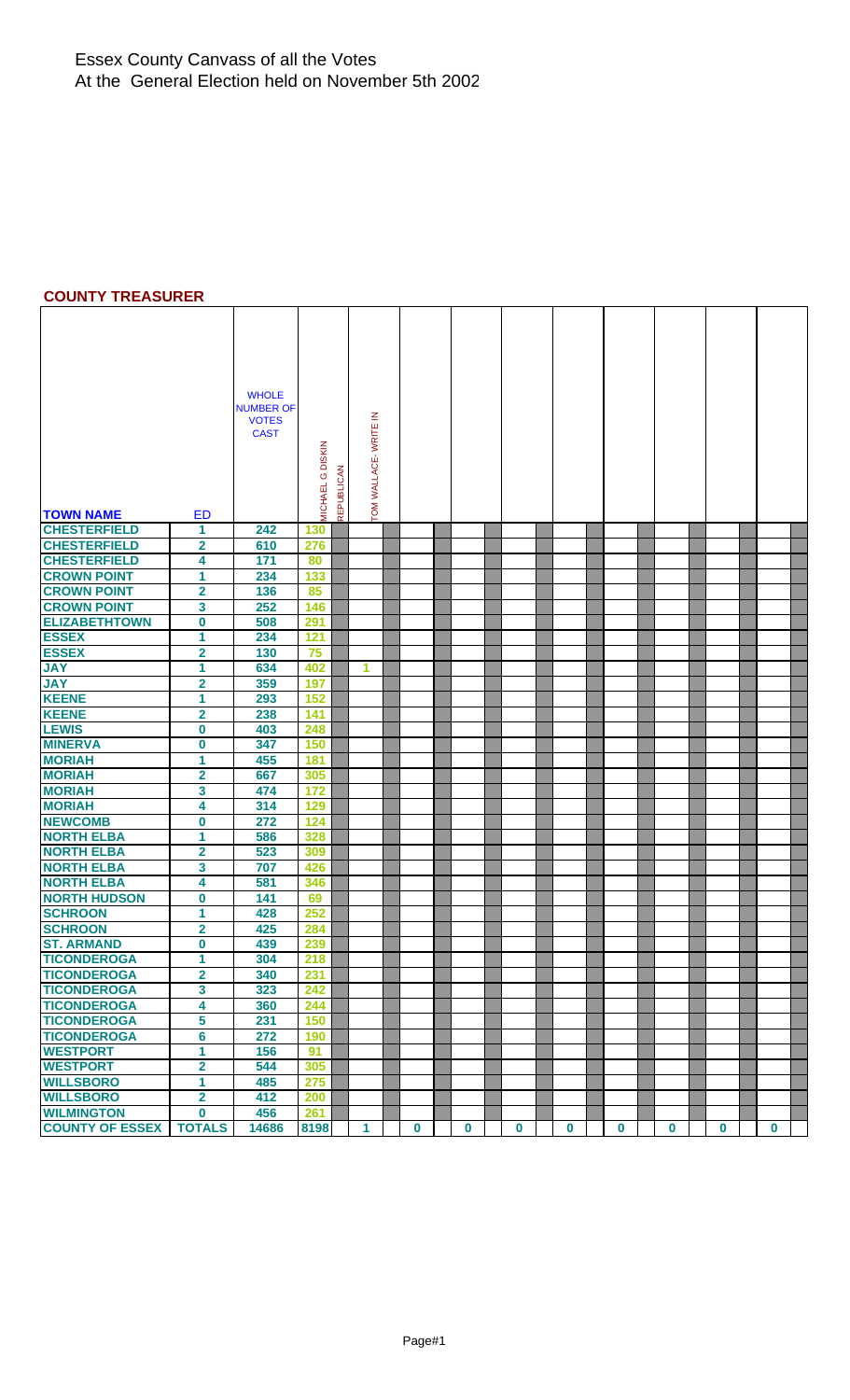## **COUNTY TREASURER**

|                                          |                         | <b>WHOLE</b><br><b>NUMBER OF</b><br><b>VOTES</b><br><b>CAST</b> | MICHAEL G DISKIN<br><b>REPUBLICAN</b> |   | TOM WALLACE- WRITE IN |          |          |          |          |          |          |          |             |  |
|------------------------------------------|-------------------------|-----------------------------------------------------------------|---------------------------------------|---|-----------------------|----------|----------|----------|----------|----------|----------|----------|-------------|--|
| <b>TOWN NAME</b>                         | <b>ED</b>               |                                                                 |                                       |   |                       |          |          |          |          |          |          |          |             |  |
| <b>CHESTERFIELD</b>                      | 1                       | 242                                                             | 130                                   |   |                       |          |          |          |          |          |          |          |             |  |
| <b>CHESTERFIELD</b>                      | $\overline{\mathbf{2}}$ | 610                                                             | 276                                   |   |                       |          |          |          |          |          |          |          |             |  |
| <b>CHESTERFIELD</b>                      | 4                       | 171                                                             | 80                                    |   |                       |          |          |          |          |          |          |          |             |  |
| <b>CROWN POINT</b>                       | 1                       | 234                                                             | 133                                   |   |                       |          |          |          |          |          |          |          |             |  |
| <b>CROWN POINT</b>                       | $\mathbf{2}$            | 136                                                             | 85                                    |   |                       |          |          |          |          |          |          |          |             |  |
| <b>CROWN POINT<br/>ELIZABETHTOWN</b>     | 3                       | 252                                                             | 146                                   |   |                       |          |          |          |          |          |          |          |             |  |
|                                          | 0                       | 508                                                             | 291                                   |   |                       |          |          |          |          |          |          |          |             |  |
| <b>ESSEX</b>                             | 1                       | 234                                                             | 121                                   |   |                       |          |          |          |          |          |          |          |             |  |
| <b>ESSEX</b>                             | $\overline{\mathbf{2}}$ | 130                                                             | 75                                    |   |                       |          |          |          |          |          |          |          |             |  |
| <b>JAY</b>                               | 1                       | 634                                                             | 402                                   | 1 |                       |          |          |          |          |          |          |          |             |  |
| <b>YAL</b>                               | 2                       | 359                                                             | 197                                   |   |                       |          |          |          |          |          |          |          |             |  |
| <b>KEENE</b>                             | 1                       | 293                                                             | 152                                   |   |                       |          |          |          |          |          |          |          |             |  |
| <b>KEENE</b>                             | $\overline{2}$          | 238                                                             | 141                                   |   |                       |          |          |          |          |          |          |          |             |  |
| <b>LEWIS</b>                             | $\bf{0}$                | 403                                                             | 248                                   |   |                       |          |          |          |          |          |          |          |             |  |
| <b>MINERVA</b>                           | $\bf{0}$                | 347                                                             | 150                                   |   |                       |          |          |          |          |          |          |          |             |  |
| <b>MORIAH</b>                            | 1                       | 455                                                             | 181                                   |   |                       |          |          |          |          |          |          |          |             |  |
| <b>MORIAH</b>                            | $\mathbf{2}$            | 667                                                             | 305                                   |   |                       |          |          |          |          |          |          |          |             |  |
| <b>MORIAH</b>                            | 3                       | 474                                                             | 172                                   |   |                       |          |          |          |          |          |          |          |             |  |
| <b>MORIAH</b>                            | 4                       | 314                                                             | 129                                   |   |                       |          |          |          |          |          |          |          |             |  |
| <b>NEWCOMB</b>                           | 0                       | 272                                                             | 124                                   |   |                       |          |          |          |          |          |          |          |             |  |
| <b>NORTH ELBA</b>                        | 1                       | 586                                                             | 328                                   |   |                       |          |          |          |          |          |          |          |             |  |
| <b>NORTH ELBA</b>                        | 2                       | 523                                                             | 309                                   |   |                       |          |          |          |          |          |          |          |             |  |
| <b>NORTH ELBA</b>                        | 3                       | 707                                                             | 426                                   |   |                       |          |          |          |          |          |          |          |             |  |
| <b>NORTH ELBA</b>                        | 4                       | 581                                                             | 346                                   |   |                       |          |          |          |          |          |          |          |             |  |
| <b>NORTH HUDSON</b>                      | 0                       | 141                                                             | 69                                    |   |                       |          |          |          |          |          |          |          |             |  |
| <b>SCHROON</b>                           | 1                       | 428                                                             | 252                                   |   |                       |          |          |          |          |          |          |          |             |  |
| <b>SCHROON</b>                           | $\overline{\mathbf{2}}$ | 425                                                             | 284                                   |   |                       |          |          |          |          |          |          |          |             |  |
| <b>ST. ARMAND</b><br><b>TICONDEROGA</b>  | $\bf{0}$                | 439                                                             | 239                                   |   |                       |          |          |          |          |          |          |          |             |  |
|                                          | 1                       | 304                                                             | 218                                   |   |                       |          |          |          |          |          |          |          |             |  |
| <b>TICONDEROGA</b>                       | $\mathbf{2}$            | 340                                                             | 231                                   |   |                       |          |          |          |          |          |          |          |             |  |
| <b>TICONDEROGA</b><br>TICONDEROGA        | 3                       | 323                                                             | 242                                   |   |                       |          |          |          |          |          |          |          |             |  |
|                                          | 4                       | 360                                                             | 244                                   |   |                       |          |          |          |          |          |          |          |             |  |
| <b>TICONDEROGA</b><br><b>TICONDEROGA</b> | 5<br>6                  | 231<br>272                                                      | 150                                   |   |                       |          |          |          |          |          |          |          |             |  |
| <b>WESTPORT</b>                          | 1                       |                                                                 | 190<br>91                             |   |                       |          |          |          |          |          |          |          |             |  |
| <b>WESTPORT</b>                          | $\mathbf 2$             | 156<br>544                                                      | 305                                   |   |                       |          |          |          |          |          |          |          |             |  |
| <b>WILLSBORO</b>                         | 1                       | 485                                                             | 275                                   |   |                       |          |          |          |          |          |          |          |             |  |
| <b>WILLSBORO</b>                         | $\overline{2}$          | 412                                                             | 200                                   |   |                       |          |          |          |          |          |          |          |             |  |
| <b>WILMINGTON</b>                        | 0                       | 456                                                             | 261                                   |   |                       |          |          |          |          |          |          |          |             |  |
| <b>COUNTY OF ESSEX</b>                   | <b>TOTALS</b>           | 14686                                                           | 8198                                  | 1 |                       | $\bf{0}$ | $\bf{0}$ | $\bf{0}$ | $\bf{0}$ | $\bf{0}$ | $\bf{0}$ | $\bf{0}$ | $\mathbf 0$ |  |